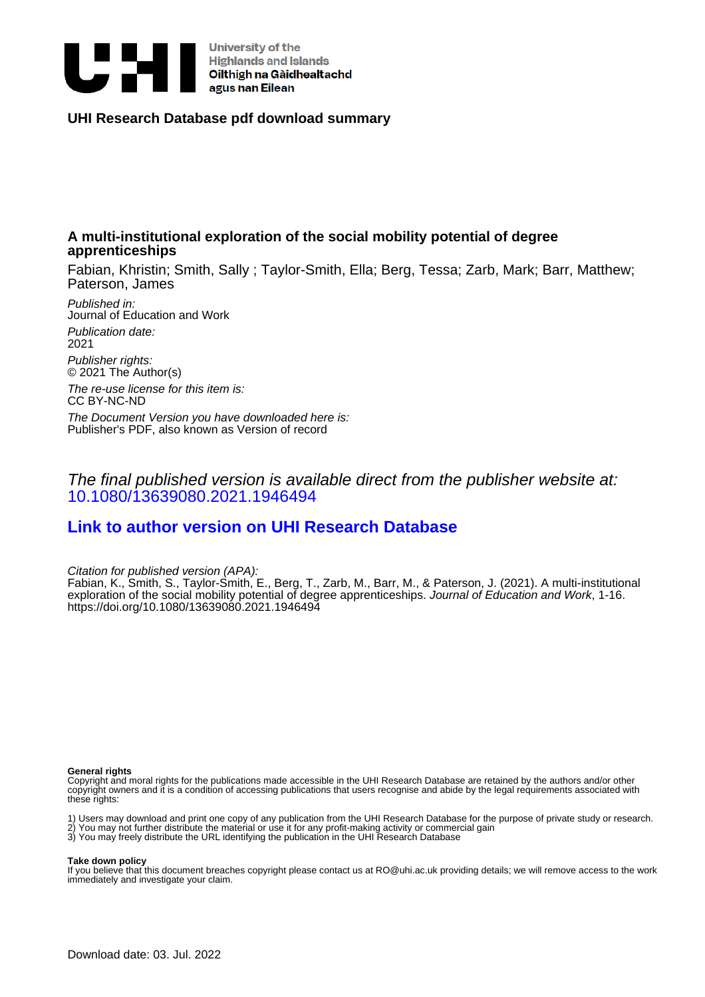

# **UHI Research Database pdf download summary**

# **A multi-institutional exploration of the social mobility potential of degree apprenticeships**

Fabian, Khristin; Smith, Sally ; Taylor-Smith, Ella; Berg, Tessa; Zarb, Mark; Barr, Matthew; Paterson, James

Published in: Journal of Education and Work Publication date: 2021 Publisher rights:

© 2021 The Author(s)

The re-use license for this item is: CC BY-NC-ND

The Document Version you have downloaded here is: Publisher's PDF, also known as Version of record

The final published version is available direct from the publisher website at: [10.1080/13639080.2021.1946494](https://doi.org/10.1080/13639080.2021.1946494)

# **[Link to author version on UHI Research Database](https://pure.uhi.ac.uk/en/publications/ae960108-2bea-4b59-ad37-88e754904c65)**

Citation for published version (APA):

Fabian, K., Smith, S., Taylor-Smith, E., Berg, T., Zarb, M., Barr, M., & Paterson, J. (2021). A multi-institutional exploration of the social mobility potential of degree apprenticeships. Journal of Education and Work, 1-16. <https://doi.org/10.1080/13639080.2021.1946494>

#### **General rights**

Copyright and moral rights for the publications made accessible in the UHI Research Database are retained by the authors and/or other copyright owners and it is a condition of accessing publications that users recognise and abide by the legal requirements associated with these rights:

1) Users may download and print one copy of any publication from the UHI Research Database for the purpose of private study or research. 2) You may not further distribute the material or use it for any profit-making activity or commercial gain 3) You may freely distribute the URL identifying the publication in the UHI Research Database

#### **Take down policy**

If you believe that this document breaches copyright please contact us at RO@uhi.ac.uk providing details; we will remove access to the work immediately and investigate your claim.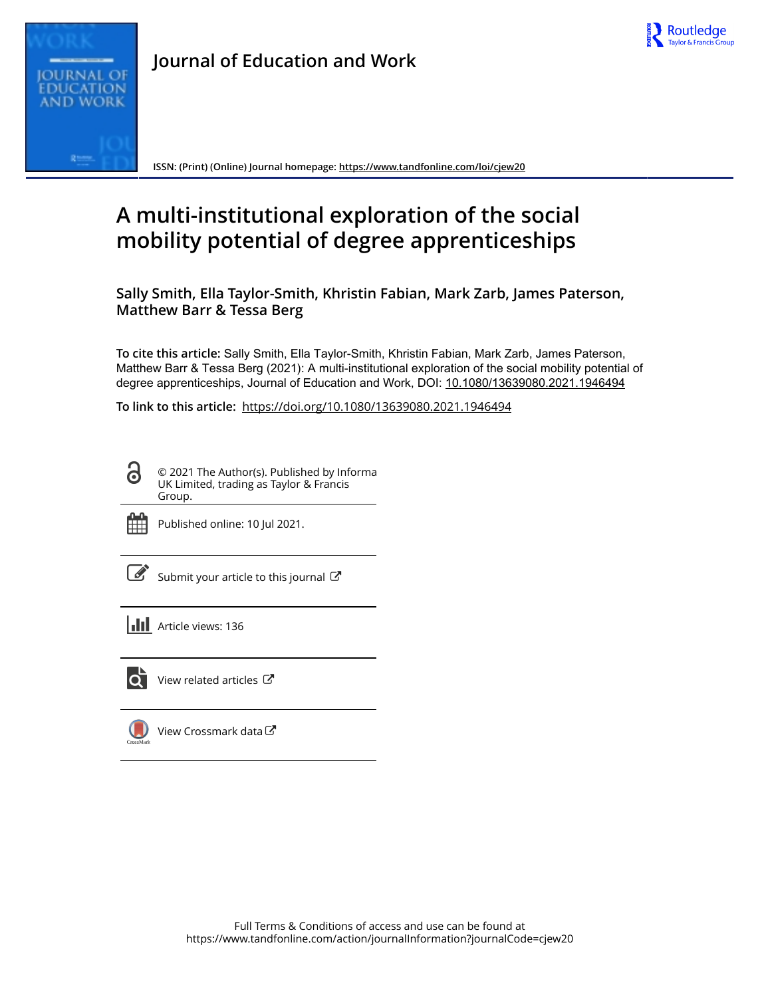



**Journal of Education and Work**

**ISSN: (Print) (Online) Journal homepage:<https://www.tandfonline.com/loi/cjew20>**

# **A multi-institutional exploration of the social mobility potential of degree apprenticeships**

**Sally Smith, Ella Taylor-Smith, Khristin Fabian, Mark Zarb, James Paterson, Matthew Barr & Tessa Berg**

**To cite this article:** Sally Smith, Ella Taylor-Smith, Khristin Fabian, Mark Zarb, James Paterson, Matthew Barr & Tessa Berg (2021): A multi-institutional exploration of the social mobility potential of degree apprenticeships, Journal of Education and Work, DOI: [10.1080/13639080.2021.1946494](https://www.tandfonline.com/action/showCitFormats?doi=10.1080/13639080.2021.1946494)

**To link to this article:** <https://doi.org/10.1080/13639080.2021.1946494>

© 2021 The Author(s). Published by Informa UK Limited, trading as Taylor & Francis Group.



**G** 

Published online: 10 Jul 2021.

| ł  |
|----|
| ۰. |

[Submit your article to this journal](https://www.tandfonline.com/action/authorSubmission?journalCode=cjew20&show=instructions)  $\mathbb{Z}$ 

data $\mathbb{C}^n$ 

**III** Article views: 136



[View related articles](https://www.tandfonline.com/doi/mlt/10.1080/13639080.2021.1946494)  $\mathbb{Z}$ 

| View Crossmark |
|----------------|
|                |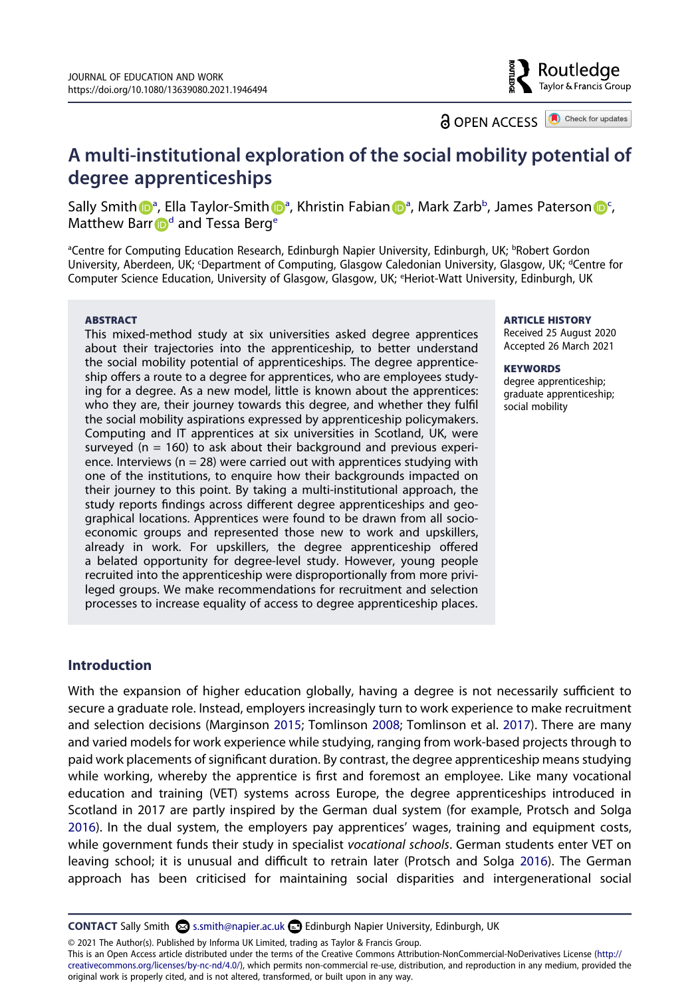Routledae Taylor & Francis Group

**a** OPEN ACCESS **a** Check for updates

# **A multi-institutional exploration of the social mobility potential of degree apprenticeships**

S[a](#page-2-0)lly Smit[h](http://orcid.org/0000-0003-3407-1029) **D**<sup>a</sup>, Ella Taylor-Smith D<sup>a</sup>, Khristi[n](http://orcid.org/0000-0002-6955-1009) Fa[b](#page-2-0)ian D<sup>a</sup>, Mark Zarb<sup>b</sup>, James Paterson D<sup>[c](#page-2-1)</sup>, Matthew Barr  $\mathbf{D}^d$  an[d](#page-2-1) Tessa Berg<sup>e</sup>

<span id="page-2-2"></span><span id="page-2-1"></span><span id="page-2-0"></span><sup>a</sup>Centre for Computing Education Research, Edinburgh Napier University, Edinburgh, UK; <sup>b</sup>Robert Gordon University, Aberdeen, UK; <sup>c</sup>Department of Computing, Glasgow Caledonian University, Glasgow, UK; <sup>d</sup>Centre for Computer Science Education, University of Glasgow, Glasgow, UK; e Heriot-Watt University, Edinburgh, UK

#### **ABSTRACT**

This mixed-method study at six universities asked degree apprentices about their trajectories into the apprenticeship, to better understand the social mobility potential of apprenticeships. The degree apprenticeship offers a route to a degree for apprentices, who are employees studying for a degree. As a new model, little is known about the apprentices: who they are, their journey towards this degree, and whether they fulfil the social mobility aspirations expressed by apprenticeship policymakers. Computing and IT apprentices at six universities in Scotland, UK, were surveyed ( $n = 160$ ) to ask about their background and previous experience. Interviews ( $n = 28$ ) were carried out with apprentices studying with one of the institutions, to enquire how their backgrounds impacted on their journey to this point. By taking a multi-institutional approach, the study reports findings across different degree apprenticeships and geographical locations. Apprentices were found to be drawn from all socioeconomic groups and represented those new to work and upskillers, already in work. For upskillers, the degree apprenticeship offered a belated opportunity for degree-level study. However, young people recruited into the apprenticeship were disproportionally from more privileged groups. We make recommendations for recruitment and selection processes to increase equality of access to degree apprenticeship places.

# **ARTICLE HISTORY**

Received 25 August 2020 Accepted 26 March 2021

#### **KEYWORDS**

degree apprenticeship; graduate apprenticeship; social mobility

# **Introduction**

<span id="page-2-3"></span>With the expansion of higher education globally, having a degree is not necessarily sufficient to secure a graduate role. Instead, employers increasingly turn to work experience to make recruitment and selection decisions (Marginson [2015](#page-16-0); Tomlinson [2008;](#page-17-0) Tomlinson et al. [2017](#page-17-1)). There are many and varied models for work experience while studying, ranging from work-based projects through to paid work placements of significant duration. By contrast, the degree apprenticeship means studying while working, whereby the apprentice is first and foremost an employee. Like many vocational education and training (VET) systems across Europe, the degree apprenticeships introduced in Scotland in 2017 are partly inspired by the German dual system (for example, Protsch and Solga [2016\)](#page-16-1). In the dual system, the employers pay apprentices' wages, training and equipment costs, while government funds their study in specialist *vocational schools*. German students enter VET on leaving school; it is unusual and difficult to retrain later (Protsch and Solga [2016](#page-16-1)). The German approach has been criticised for maintaining social disparities and intergenerational social

<span id="page-2-4"></span>**CONTACT** Sally Smith S s.smith@napier.ac.uk **B** Edinburgh Napier University, Edinburgh, UK

© 2021 The Author(s). Published by Informa UK Limited, trading as Taylor & Francis Group.

This is an Open Access article distributed under the terms of the Creative Commons Attribution-NonCommercial-NoDerivatives License (http:// creativecommons.org/licenses/by-nc-nd/4.0/), which permits non-commercial re-use, distribution, and reproduction in any medium, provided the original work is properly cited, and is not altered, transformed, or built upon in any way.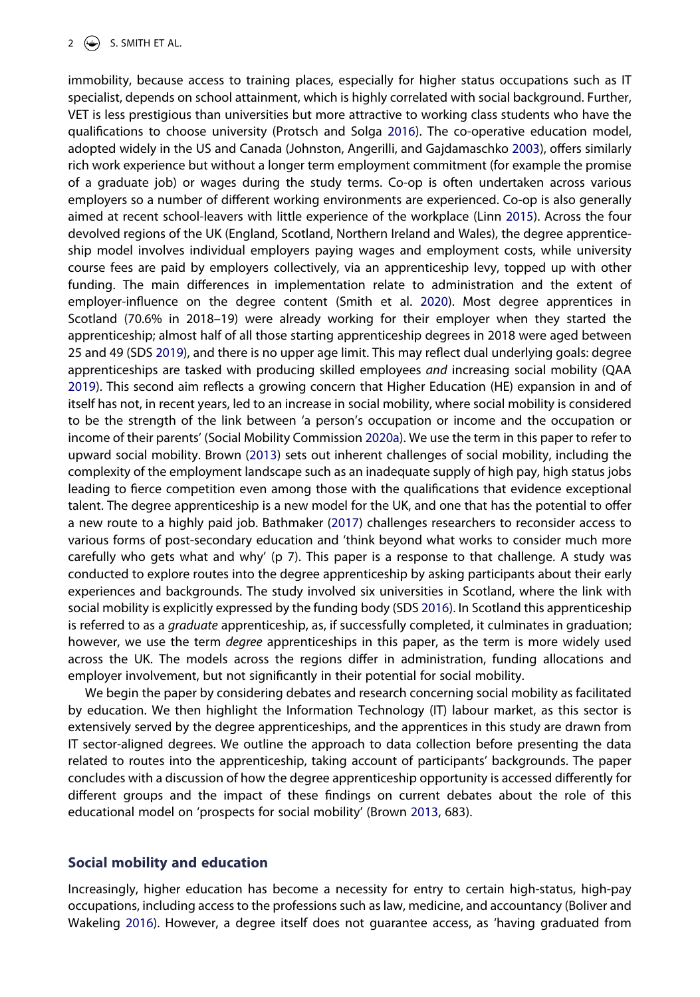<span id="page-3-9"></span><span id="page-3-8"></span><span id="page-3-6"></span><span id="page-3-5"></span><span id="page-3-4"></span>immobility, because access to training places, especially for higher status occupations such as IT specialist, depends on school attainment, which is highly correlated with social background. Further, VET is less prestigious than universities but more attractive to working class students who have the qualifications to choose university (Protsch and Solga [2016\)](#page-16-1). The co-operative education model, adopted widely in the US and Canada (Johnston, Angerilli, and Gajdamaschko [2003\)](#page-16-2), offers similarly rich work experience but without a longer term employment commitment (for example the promise of a graduate job) or wages during the study terms. Co-op is often undertaken across various employers so a number of different working environments are experienced. Co-op is also generally aimed at recent school-leavers with little experience of the workplace (Linn [2015](#page-16-3)). Across the four devolved regions of the UK (England, Scotland, Northern Ireland and Wales), the degree apprenticeship model involves individual employers paying wages and employment costs, while university course fees are paid by employers collectively, via an apprenticeship levy, topped up with other funding. The main differences in implementation relate to administration and the extent of employer-influence on the degree content (Smith et al. [2020\)](#page-17-2). Most degree apprentices in Scotland (70.6% in 2018–19) were already working for their employer when they started the apprenticeship; almost half of all those starting apprenticeship degrees in 2018 were aged between 25 and 49 (SDS [2019](#page-16-4)), and there is no upper age limit. This may reflect dual underlying goals: degree apprenticeships are tasked with producing skilled employees *and* increasing social mobility (QAA [2019\)](#page-16-5). This second aim reflects a growing concern that Higher Education (HE) expansion in and of itself has not, in recent years, led to an increase in social mobility, where social mobility is considered to be the strength of the link between 'a person's occupation or income and the occupation or income of their parents' (Social Mobility Commission [2020a\)](#page-15-0). We use the term in this paper to refer to upward social mobility. Brown ([2013](#page-15-1)) sets out inherent challenges of social mobility, including the complexity of the employment landscape such as an inadequate supply of high pay, high status jobs leading to fierce competition even among those with the qualifications that evidence exceptional talent. The degree apprenticeship is a new model for the UK, and one that has the potential to offer a new route to a highly paid job. Bathmaker ([2017](#page-15-2)) challenges researchers to reconsider access to various forms of post-secondary education and 'think beyond what works to consider much more carefully who gets what and why' (p 7). This paper is a response to that challenge. A study was conducted to explore routes into the degree apprenticeship by asking participants about their early experiences and backgrounds. The study involved six universities in Scotland, where the link with social mobility is explicitly expressed by the funding body (SDS [2016\)](#page-16-6). In Scotland this apprenticeship is referred to as a *graduate* apprenticeship, as, if successfully completed, it culminates in graduation; however, we use the term *degree* apprenticeships in this paper, as the term is more widely used across the UK. The models across the regions differ in administration, funding allocations and employer involvement, but not significantly in their potential for social mobility.

<span id="page-3-7"></span><span id="page-3-3"></span><span id="page-3-0"></span>We begin the paper by considering debates and research concerning social mobility as facilitated by education. We then highlight the Information Technology (IT) labour market, as this sector is extensively served by the degree apprenticeships, and the apprentices in this study are drawn from IT sector-aligned degrees. We outline the approach to data collection before presenting the data related to routes into the apprenticeship, taking account of participants' backgrounds. The paper concludes with a discussion of how the degree apprenticeship opportunity is accessed differently for different groups and the impact of these findings on current debates about the role of this educational model on 'prospects for social mobility' (Brown [2013](#page-15-1), 683).

# <span id="page-3-2"></span>**Social mobility and education**

<span id="page-3-1"></span>Increasingly, higher education has become a necessity for entry to certain high-status, high-pay occupations, including access to the professions such as law, medicine, and accountancy (Boliver and Wakeling [2016](#page-15-3)). However, a degree itself does not guarantee access, as 'having graduated from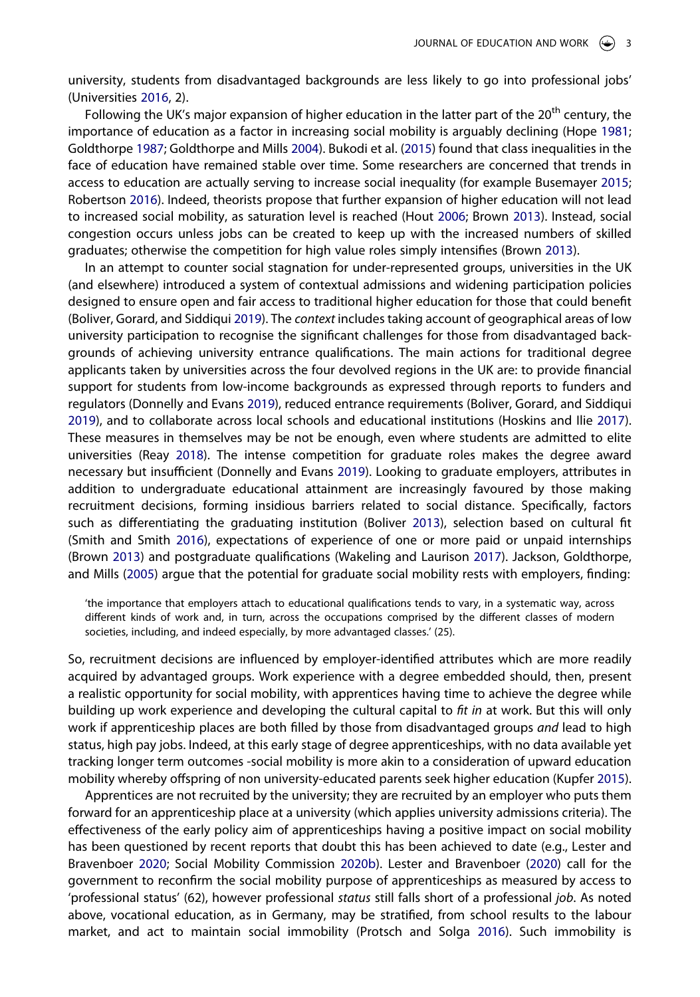<span id="page-4-14"></span>university, students from disadvantaged backgrounds are less likely to go into professional jobs' (Universities [2016,](#page-17-3) 2).

<span id="page-4-6"></span><span id="page-4-3"></span><span id="page-4-2"></span>Following the UK's major expansion of higher education in the latter part of the 20<sup>th</sup> century, the importance of education as a factor in increasing social mobility is arguably declining (Hope [1981](#page-15-4); Goldthorpe [1987](#page-15-5); Goldthorpe and Mills [2004\)](#page-15-6). Bukodi et al. [\(2015\)](#page-15-7) found that class inequalities in the face of education have remained stable over time. Some researchers are concerned that trends in access to education are actually serving to increase social inequality (for example Busemayer [2015](#page-15-8); Robertson [2016\)](#page-16-7). Indeed, theorists propose that further expansion of higher education will not lead to increased social mobility, as saturation level is reached (Hout [2006](#page-16-8); Brown [2013](#page-15-1)). Instead, social congestion occurs unless jobs can be created to keep up with the increased numbers of skilled graduates; otherwise the competition for high value roles simply intensifies (Brown [2013\)](#page-15-1).

<span id="page-4-12"></span><span id="page-4-8"></span><span id="page-4-7"></span><span id="page-4-1"></span>In an attempt to counter social stagnation for under-represented groups, universities in the UK (and elsewhere) introduced a system of contextual admissions and widening participation policies designed to ensure open and fair access to traditional higher education for those that could benefit (Boliver, Gorard, and Siddiqui [2019](#page-15-9)). The *context* includes taking account of geographical areas of low university participation to recognise the significant challenges for those from disadvantaged backgrounds of achieving university entrance qualifications. The main actions for traditional degree applicants taken by universities across the four devolved regions in the UK are: to provide financial support for students from low-income backgrounds as expressed through reports to funders and regulators (Donnelly and Evans [2019\)](#page-15-10), reduced entrance requirements (Boliver, Gorard, and Siddiqui [2019\)](#page-15-9), and to collaborate across local schools and educational institutions (Hoskins and Ilie [2017\)](#page-16-9). These measures in themselves may be not be enough, even where students are admitted to elite universities (Reay [2018](#page-16-10)). The intense competition for graduate roles makes the degree award necessary but insufficient (Donnelly and Evans [2019](#page-15-10)). Looking to graduate employers, attributes in addition to undergraduate educational attainment are increasingly favoured by those making recruitment decisions, forming insidious barriers related to social distance. Specifically, factors such as differentiating the graduating institution (Boliver [2013](#page-15-11)), selection based on cultural fit (Smith and Smith [2016\)](#page-17-4), expectations of experience of one or more paid or unpaid internships (Brown [2013](#page-15-1)) and postgraduate qualifications (Wakeling and Laurison [2017\)](#page-17-5). Jackson, Goldthorpe, and Mills [\(2005\)](#page-16-11) argue that the potential for graduate social mobility rests with employers, finding:

<span id="page-4-15"></span><span id="page-4-13"></span><span id="page-4-11"></span><span id="page-4-9"></span><span id="page-4-5"></span><span id="page-4-0"></span>'the importance that employers attach to educational qualifications tends to vary, in a systematic way, across different kinds of work and, in turn, across the occupations comprised by the different classes of modern societies, including, and indeed especially, by more advantaged classes.' (25).

So, recruitment decisions are influenced by employer-identified attributes which are more readily acquired by advantaged groups. Work experience with a degree embedded should, then, present a realistic opportunity for social mobility, with apprentices having time to achieve the degree while building up work experience and developing the cultural capital to *fit in* at work. But this will only work if apprenticeship places are both filled by those from disadvantaged groups *and* lead to high status, high pay jobs. Indeed, at this early stage of degree apprenticeships, with no data available yet tracking longer term outcomes -social mobility is more akin to a consideration of upward education mobility whereby offspring of non university-educated parents seek higher education (Kupfer [2015\)](#page-16-12).

<span id="page-4-10"></span><span id="page-4-4"></span>Apprentices are not recruited by the university; they are recruited by an employer who puts them forward for an apprenticeship place at a university (which applies university admissions criteria). The effectiveness of the early policy aim of apprenticeships having a positive impact on social mobility has been questioned by recent reports that doubt this has been achieved to date (e.g., Lester and Bravenboer [2020](#page-16-13); Social Mobility Commission [2020b\)](#page-15-12). Lester and Bravenboer [\(2020\)](#page-16-13) call for the government to reconfirm the social mobility purpose of apprenticeships as measured by access to 'professional status' (62), however professional *status* still falls short of a professional *job*. As noted above, vocational education, as in Germany, may be stratified, from school results to the labour market, and act to maintain social immobility (Protsch and Solga [2016](#page-16-1)). Such immobility is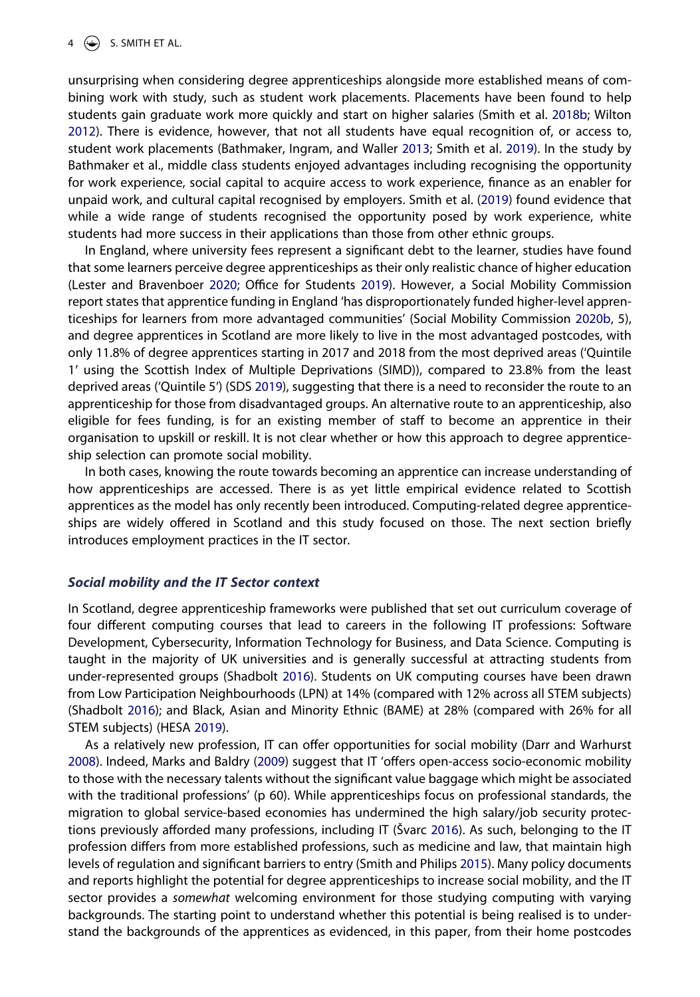<span id="page-5-6"></span><span id="page-5-0"></span>unsurprising when considering degree apprenticeships alongside more established means of combining work with study, such as student work placements. Placements have been found to help students gain graduate work more quickly and start on higher salaries (Smith et al. [2018b](#page-17-6); Wilton [2012\)](#page-17-7). There is evidence, however, that not all students have equal recognition of, or access to, student work placements (Bathmaker, Ingram, and Waller [2013;](#page-15-13) Smith et al. [2019](#page-17-8)). In the study by Bathmaker et al., middle class students enjoyed advantages including recognising the opportunity for work experience, social capital to acquire access to work experience, finance as an enabler for unpaid work, and cultural capital recognised by employers. Smith et al. [\(2019\)](#page-17-8) found evidence that while a wide range of students recognised the opportunity posed by work experience, white students had more success in their applications than those from other ethnic groups.

<span id="page-5-7"></span><span id="page-5-4"></span>In England, where university fees represent a significant debt to the learner, studies have found that some learners perceive degree apprenticeships as their only realistic chance of higher education (Lester and Bravenboer [2020](#page-16-13); Office for Students [2019](#page-16-14)). However, a Social Mobility Commission report states that apprentice funding in England 'has disproportionately funded higher-level apprenticeships for learners from more advantaged communities' (Social Mobility Commission [2020b,](#page-15-12) 5), and degree apprentices in Scotland are more likely to live in the most advantaged postcodes, with only 11.8% of degree apprentices starting in 2017 and 2018 from the most deprived areas ('Quintile 1ʹ using the Scottish Index of Multiple Deprivations (SIMD)), compared to 23.8% from the least deprived areas ('Quintile 5ʹ) (SDS [2019](#page-16-4)), suggesting that there is a need to reconsider the route to an apprenticeship for those from disadvantaged groups. An alternative route to an apprenticeship, also eligible for fees funding, is for an existing member of staff to become an apprentice in their organisation to upskill or reskill. It is not clear whether or how this approach to degree apprenticeship selection can promote social mobility.

In both cases, knowing the route towards becoming an apprentice can increase understanding of how apprenticeships are accessed. There is as yet little empirical evidence related to Scottish apprentices as the model has only recently been introduced. Computing-related degree apprenticeships are widely offered in Scotland and this study focused on those. The next section briefly introduces employment practices in the IT sector.

#### *Social mobility and the IT Sector context*

In Scotland, degree apprenticeship frameworks were published that set out curriculum coverage of four different computing courses that lead to careers in the following IT professions: Software Development, Cybersecurity, Information Technology for Business, and Data Science. Computing is taught in the majority of UK universities and is generally successful at attracting students from under-represented groups (Shadbolt [2016\)](#page-16-15). Students on UK computing courses have been drawn from Low Participation Neighbourhoods (LPN) at 14% (compared with 12% across all STEM subjects) (Shadbolt [2016](#page-16-15)); and Black, Asian and Minority Ethnic (BAME) at 28% (compared with 26% for all STEM subjects) (HESA [2019\)](#page-15-14).

<span id="page-5-9"></span><span id="page-5-8"></span><span id="page-5-5"></span><span id="page-5-3"></span><span id="page-5-2"></span><span id="page-5-1"></span>As a relatively new profession, IT can offer opportunities for social mobility (Darr and Warhurst [2008\)](#page-15-15). Indeed, Marks and Baldry [\(2009\)](#page-16-16) suggest that IT 'offers open-access socio-economic mobility to those with the necessary talents without the significant value baggage which might be associated with the traditional professions' (p 60). While apprenticeships focus on professional standards, the migration to global service-based economies has undermined the high salary/job security protections previously afforded many professions, including IT (Švarc [2016](#page-17-9)). As such, belonging to the IT profession differs from more established professions, such as medicine and law, that maintain high levels of regulation and significant barriers to entry (Smith and Philips [2015\)](#page-17-10). Many policy documents and reports highlight the potential for degree apprenticeships to increase social mobility, and the IT sector provides a *somewhat* welcoming environment for those studying computing with varying backgrounds. The starting point to understand whether this potential is being realised is to understand the backgrounds of the apprentices as evidenced, in this paper, from their home postcodes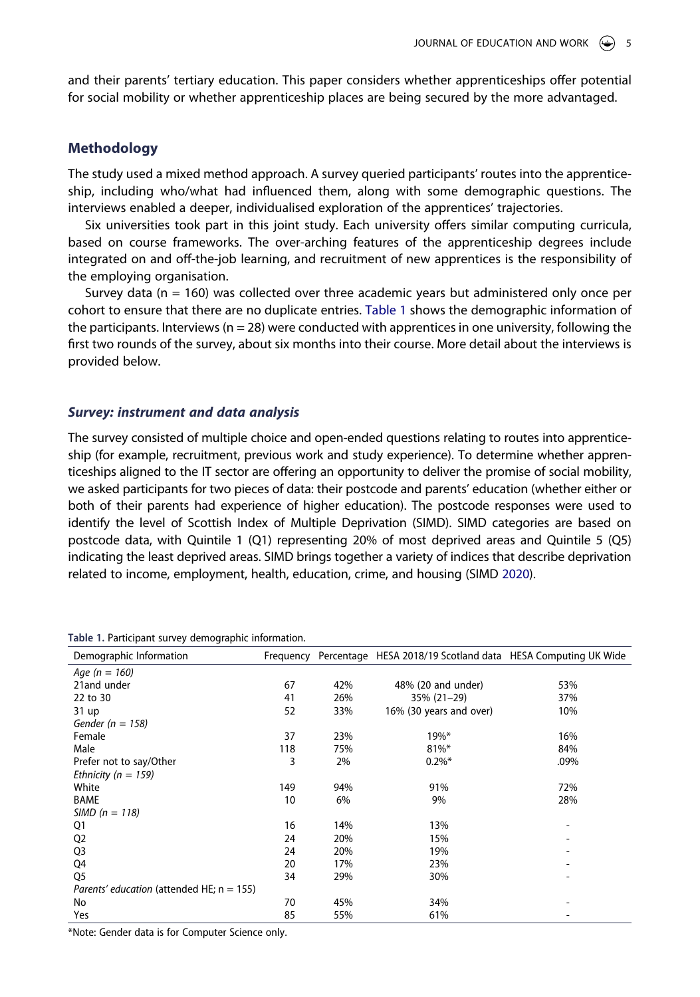and their parents' tertiary education. This paper considers whether apprenticeships offer potential for social mobility or whether apprenticeship places are being secured by the more advantaged.

# **Methodology**

The study used a mixed method approach. A survey queried participants' routes into the apprenticeship, including who/what had influenced them, along with some demographic questions. The interviews enabled a deeper, individualised exploration of the apprentices' trajectories.

Six universities took part in this joint study. Each university offers similar computing curricula, based on course frameworks. The over-arching features of the apprenticeship degrees include integrated on and off-the-job learning, and recruitment of new apprentices is the responsibility of the employing organisation.

Survey data ( $n = 160$ ) was collected over three academic years but administered only once per cohort to ensure that there are no duplicate entries. [Table 1](#page-6-0) shows the demographic information of the participants. Interviews ( $n = 28$ ) were conducted with apprentices in one university, following the first two rounds of the survey, about six months into their course. More detail about the interviews is provided below.

#### *Survey: instrument and data analysis*

The survey consisted of multiple choice and open-ended questions relating to routes into apprenticeship (for example, recruitment, previous work and study experience). To determine whether apprenticeships aligned to the IT sector are offering an opportunity to deliver the promise of social mobility, we asked participants for two pieces of data: their postcode and parents' education (whether either or both of their parents had experience of higher education). The postcode responses were used to identify the level of Scottish Index of Multiple Deprivation (SIMD). SIMD categories are based on postcode data, with Quintile 1 (Q1) representing 20% of most deprived areas and Quintile 5 (Q5) indicating the least deprived areas. SIMD brings together a variety of indices that describe deprivation related to income, employment, health, education, crime, and housing (SIMD [2020](#page-16-17)).

| Demographic Information                   | Frequency |     | Percentage HESA 2018/19 Scotland data HESA Computing UK Wide |      |
|-------------------------------------------|-----------|-----|--------------------------------------------------------------|------|
| Age ( $n = 160$ )                         |           |     |                                                              |      |
| 21and under                               | 67        | 42% | 48% (20 and under)                                           | 53%  |
| 22 to 30                                  | 41        | 26% | 35% (21-29)                                                  | 37%  |
| 31 up                                     | 52        | 33% | 16% (30 years and over)                                      | 10%  |
| Gender ( $n = 158$ )                      |           |     |                                                              |      |
| Female                                    | 37        | 23% | $19\%*$                                                      | 16%  |
| Male                                      | 118       | 75% | $81\%$ *                                                     | 84%  |
| Prefer not to say/Other                   | 3         | 2%  | $0.2\%$ *                                                    | .09% |
| Ethnicity ( $n = 159$ )                   |           |     |                                                              |      |
| White                                     | 149       | 94% | 91%                                                          | 72%  |
| <b>BAME</b>                               | 10        | 6%  | 9%                                                           | 28%  |
| SIMD $(n = 118)$                          |           |     |                                                              |      |
| Q1                                        | 16        | 14% | 13%                                                          |      |
| Q <sub>2</sub>                            | 24        | 20% | 15%                                                          |      |
| Q <sub>3</sub>                            | 24        | 20% | 19%                                                          |      |
| Q4                                        | 20        | 17% | 23%                                                          |      |
| Q5                                        | 34        | 29% | 30%                                                          |      |
| Parents' education (attended HE; n = 155) |           |     |                                                              |      |
| No                                        | 70        | 45% | 34%                                                          |      |
| Yes                                       | 85        | 55% | 61%                                                          |      |

<span id="page-6-1"></span><span id="page-6-0"></span>**Table 1.** Participant survey demographic information.

\*Note: Gender data is for Computer Science only.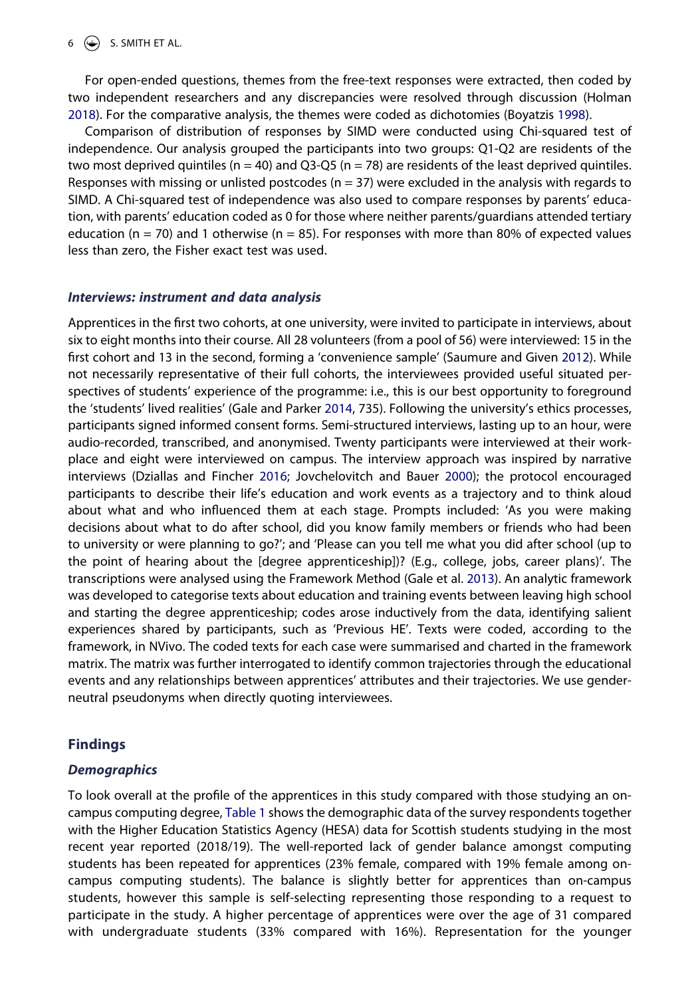# $6 \quad \Leftrightarrow$  S. SMITH ET AL.

<span id="page-7-4"></span>For open-ended questions, themes from the free-text responses were extracted, then coded by two independent researchers and any discrepancies were resolved through discussion (Holman [2018\)](#page-15-16). For the comparative analysis, the themes were coded as dichotomies (Boyatzis [1998\)](#page-15-17).

<span id="page-7-0"></span>Comparison of distribution of responses by SIMD were conducted using Chi-squared test of independence. Our analysis grouped the participants into two groups: Q1-Q2 are residents of the two most deprived quintiles ( $n = 40$ ) and Q3-Q5 ( $n = 78$ ) are residents of the least deprived quintiles. Responses with missing or unlisted postcodes ( $n = 37$ ) were excluded in the analysis with regards to SIMD. A Chi-squared test of independence was also used to compare responses by parents' education, with parents' education coded as 0 for those where neither parents/guardians attended tertiary education ( $n = 70$ ) and 1 otherwise ( $n = 85$ ). For responses with more than 80% of expected values less than zero, the Fisher exact test was used.

### *Interviews: instrument and data analysis*

<span id="page-7-5"></span><span id="page-7-3"></span><span id="page-7-1"></span>Apprentices in the first two cohorts, at one university, were invited to participate in interviews, about six to eight months into their course. All 28 volunteers (from a pool of 56) were interviewed: 15 in the first cohort and 13 in the second, forming a 'convenience sample' (Saumure and Given [2012\)](#page-16-18). While not necessarily representative of their full cohorts, the interviewees provided useful situated perspectives of students' experience of the programme: i.e., this is our best opportunity to foreground the 'students' lived realities' (Gale and Parker [2014](#page-15-18), 735). Following the university's ethics processes, participants signed informed consent forms. Semi-structured interviews, lasting up to an hour, were audio-recorded, transcribed, and anonymised. Twenty participants were interviewed at their workplace and eight were interviewed on campus. The interview approach was inspired by narrative interviews (Dziallas and Fincher [2016](#page-15-19); Jovchelovitch and Bauer [2000](#page-16-19)); the protocol encouraged participants to describe their life's education and work events as a trajectory and to think aloud about what and who influenced them at each stage. Prompts included: 'As you were making decisions about what to do after school, did you know family members or friends who had been to university or were planning to go?'; and 'Please can you tell me what you did after school (up to the point of hearing about the [degree apprenticeship])? (E.g., college, jobs, career plans)'. The transcriptions were analysed using the Framework Method (Gale et al. [2013\)](#page-15-20). An analytic framework was developed to categorise texts about education and training events between leaving high school and starting the degree apprenticeship; codes arose inductively from the data, identifying salient experiences shared by participants, such as 'Previous HE'. Texts were coded, according to the framework, in NVivo. The coded texts for each case were summarised and charted in the framework matrix. The matrix was further interrogated to identify common trajectories through the educational events and any relationships between apprentices' attributes and their trajectories. We use genderneutral pseudonyms when directly quoting interviewees.

# <span id="page-7-2"></span>**Findings**

# *Demographics*

To look overall at the profile of the apprentices in this study compared with those studying an oncampus computing degree, [Table 1](#page-6-0) shows the demographic data of the survey respondents together with the Higher Education Statistics Agency (HESA) data for Scottish students studying in the most recent year reported (2018/19). The well-reported lack of gender balance amongst computing students has been repeated for apprentices (23% female, compared with 19% female among oncampus computing students). The balance is slightly better for apprentices than on-campus students, however this sample is self-selecting representing those responding to a request to participate in the study. A higher percentage of apprentices were over the age of 31 compared with undergraduate students (33% compared with 16%). Representation for the younger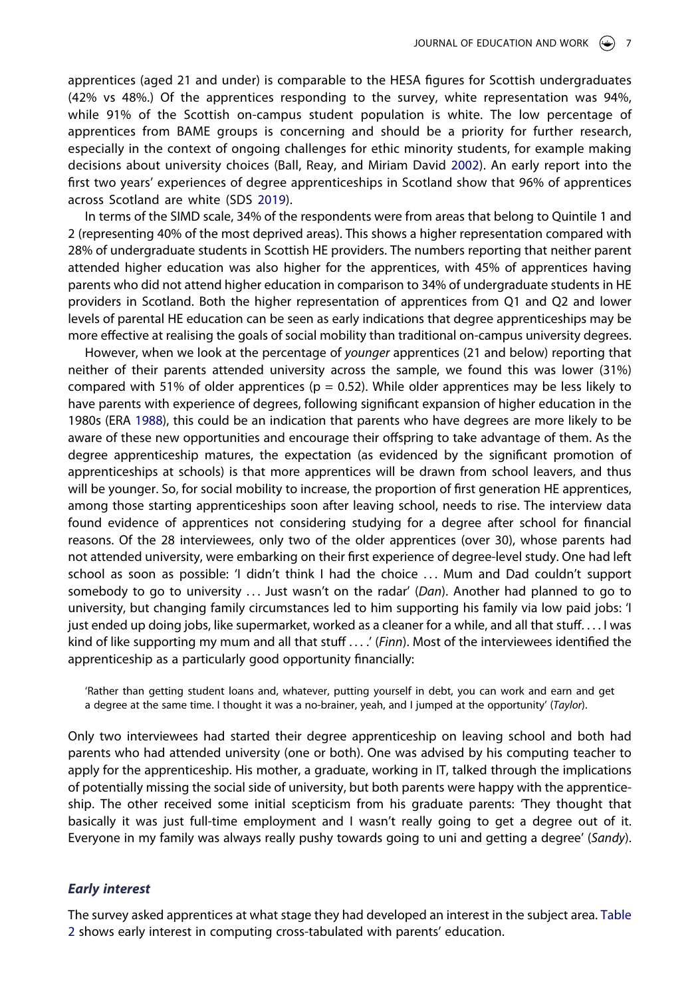apprentices (aged 21 and under) is comparable to the HESA figures for Scottish undergraduates (42% vs 48%.) Of the apprentices responding to the survey, white representation was 94%, while 91% of the Scottish on-campus student population is white. The low percentage of apprentices from BAME groups is concerning and should be a priority for further research, especially in the context of ongoing challenges for ethic minority students, for example making decisions about university choices (Ball, Reay, and Miriam David [2002\)](#page-15-21). An early report into the first two years' experiences of degree apprenticeships in Scotland show that 96% of apprentices across Scotland are white (SDS [2019\)](#page-16-4).

<span id="page-8-0"></span>In terms of the SIMD scale, 34% of the respondents were from areas that belong to Quintile 1 and 2 (representing 40% of the most deprived areas). This shows a higher representation compared with 28% of undergraduate students in Scottish HE providers. The numbers reporting that neither parent attended higher education was also higher for the apprentices, with 45% of apprentices having parents who did not attend higher education in comparison to 34% of undergraduate students in HE providers in Scotland. Both the higher representation of apprentices from Q1 and Q2 and lower levels of parental HE education can be seen as early indications that degree apprenticeships may be more effective at realising the goals of social mobility than traditional on-campus university degrees.

<span id="page-8-1"></span>However, when we look at the percentage of *younger* apprentices (21 and below) reporting that neither of their parents attended university across the sample, we found this was lower (31%) compared with 51% of older apprentices ( $p = 0.52$ ). While older apprentices may be less likely to have parents with experience of degrees, following significant expansion of higher education in the 1980s (ERA [1988\)](#page-15-22), this could be an indication that parents who have degrees are more likely to be aware of these new opportunities and encourage their offspring to take advantage of them. As the degree apprenticeship matures, the expectation (as evidenced by the significant promotion of apprenticeships at schools) is that more apprentices will be drawn from school leavers, and thus will be younger. So, for social mobility to increase, the proportion of first generation HE apprentices, among those starting apprenticeships soon after leaving school, needs to rise. The interview data found evidence of apprentices not considering studying for a degree after school for financial reasons. Of the 28 interviewees, only two of the older apprentices (over 30), whose parents had not attended university, were embarking on their first experience of degree-level study. One had left school as soon as possible: 'I didn't think I had the choice . . . Mum and Dad couldn't support somebody to go to university . . . Just wasn't on the radar' (*Dan*). Another had planned to go to university, but changing family circumstances led to him supporting his family via low paid jobs: 'I just ended up doing jobs, like supermarket, worked as a cleaner for a while, and all that stuff. . . . I was kind of like supporting my mum and all that stuff . . . .' (*Finn*). Most of the interviewees identified the apprenticeship as a particularly good opportunity financially:

'Rather than getting student loans and, whatever, putting yourself in debt, you can work and earn and get a degree at the same time. I thought it was a no-brainer, yeah, and I jumped at the opportunity' (*Taylor*).

Only two interviewees had started their degree apprenticeship on leaving school and both had parents who had attended university (one or both). One was advised by his computing teacher to apply for the apprenticeship. His mother, a graduate, working in IT, talked through the implications of potentially missing the social side of university, but both parents were happy with the apprenticeship. The other received some initial scepticism from his graduate parents: 'They thought that basically it was just full-time employment and I wasn't really going to get a degree out of it. Everyone in my family was always really pushy towards going to uni and getting a degree' (*Sandy*).

#### *Early interest*

The survey asked apprentices at what stage they had developed an interest in the subject area. [Table](#page-9-0) [2](#page-9-0) shows early interest in computing cross-tabulated with parents' education.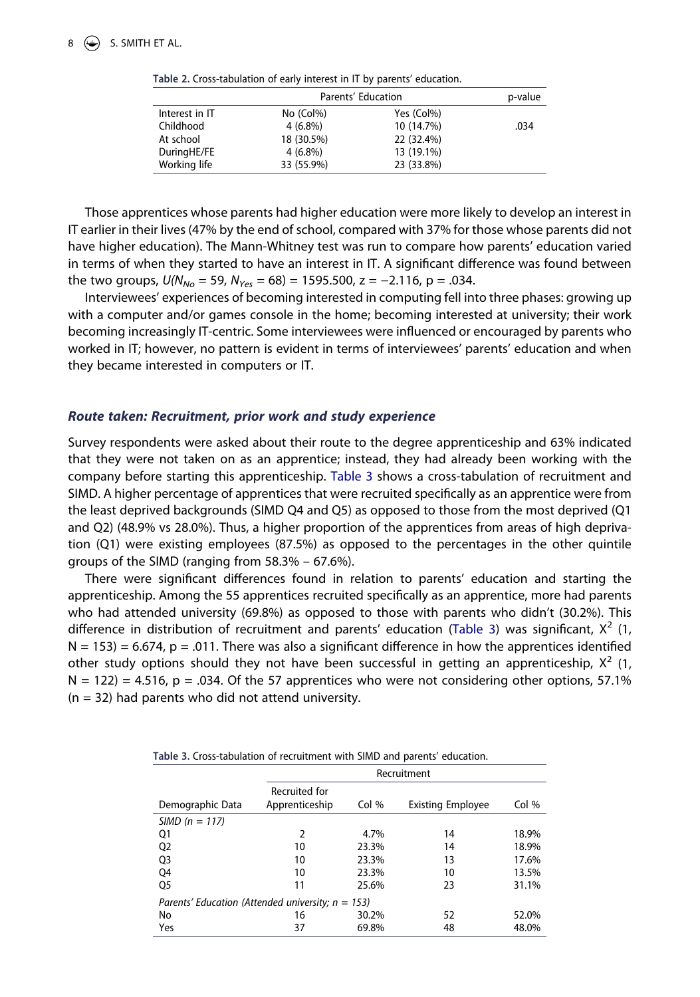|                | Parents' Education | p-value    |      |
|----------------|--------------------|------------|------|
| Interest in IT | $No$ (Col%)        | Yes (Col%) |      |
| Childhood      | $4(6.8\%)$         | 10 (14.7%) | .034 |
| At school      | 18 (30.5%)         | 22 (32.4%) |      |
| DuringHE/FE    | $4(6.8\%)$         | 13 (19.1%) |      |
| Working life   | 33 (55.9%)         | 23 (33.8%) |      |

<span id="page-9-0"></span>**Table 2.** Cross-tabulation of early interest in IT by parents' education.

Those apprentices whose parents had higher education were more likely to develop an interest in IT earlier in their lives (47% by the end of school, compared with 37% for those whose parents did not have higher education). The Mann-Whitney test was run to compare how parents' education varied in terms of when they started to have an interest in IT. A significant difference was found between the two groups,  $U(N_{No} = 59, N_{Yes} = 68) = 1595.500$ ,  $z = -2.116$ ,  $p = .034$ .

Interviewees' experiences of becoming interested in computing fell into three phases: growing up with a computer and/or games console in the home; becoming interested at university; their work becoming increasingly IT-centric. Some interviewees were influenced or encouraged by parents who worked in IT; however, no pattern is evident in terms of interviewees' parents' education and when they became interested in computers or IT.

# *Route taken: Recruitment, prior work and study experience*

Survey respondents were asked about their route to the degree apprenticeship and 63% indicated that they were not taken on as an apprentice; instead, they had already been working with the company before starting this apprenticeship. [Table 3](#page-9-1) shows a cross-tabulation of recruitment and SIMD. A higher percentage of apprentices that were recruited specifically as an apprentice were from the least deprived backgrounds (SIMD Q4 and Q5) as opposed to those from the most deprived (Q1 and Q2) (48.9% vs 28.0%). Thus, a higher proportion of the apprentices from areas of high deprivation (Q1) were existing employees (87.5%) as opposed to the percentages in the other quintile groups of the SIMD (ranging from 58.3% – 67.6%).

There were significant differences found in relation to parents' education and starting the apprenticeship. Among the 55 apprentices recruited specifically as an apprentice, more had parents who had attended university (69.8%) as opposed to those with parents who didn't (30.2%). This difference in distribution of recruitment and parents' education ([Table 3\)](#page-9-1) was significant,  $X^2$  (1,  $N = 153$ ) = 6.674, p = .011. There was also a significant difference in how the apprentices identified other study options should they not have been successful in getting an apprenticeship,  $X^2$  (1,  $N = 122$ ) = 4.516, p = .034. Of the 57 apprentices who were not considering other options, 57.1%  $(n = 32)$  had parents who did not attend university.

<span id="page-9-1"></span>**Table 3.** Cross-tabulation of recruitment with SIMD and parents' education.

|                                                      | Recruitment    |       |                          |       |  |  |
|------------------------------------------------------|----------------|-------|--------------------------|-------|--|--|
|                                                      | Recruited for  |       |                          |       |  |  |
| Demographic Data                                     | Apprenticeship | Col % | <b>Existing Employee</b> | Col % |  |  |
| $SIMD (n = 117)$                                     |                |       |                          |       |  |  |
| Q1                                                   | 2              | 4.7%  | 14                       | 18.9% |  |  |
| Q <sub>2</sub>                                       | 10             | 23.3% | 14                       | 18.9% |  |  |
| Q <sub>3</sub>                                       | 10             | 23.3% | 13                       | 17.6% |  |  |
| Q4                                                   | 10             | 23.3% | 10                       | 13.5% |  |  |
| Q5                                                   | 11             | 25.6% | 23                       | 31.1% |  |  |
| Parents' Education (Attended university; $n = 153$ ) |                |       |                          |       |  |  |
| No                                                   | 16             | 30.2% | 52                       | 52.0% |  |  |
| Yes                                                  | 37             | 69.8% | 48                       | 48.0% |  |  |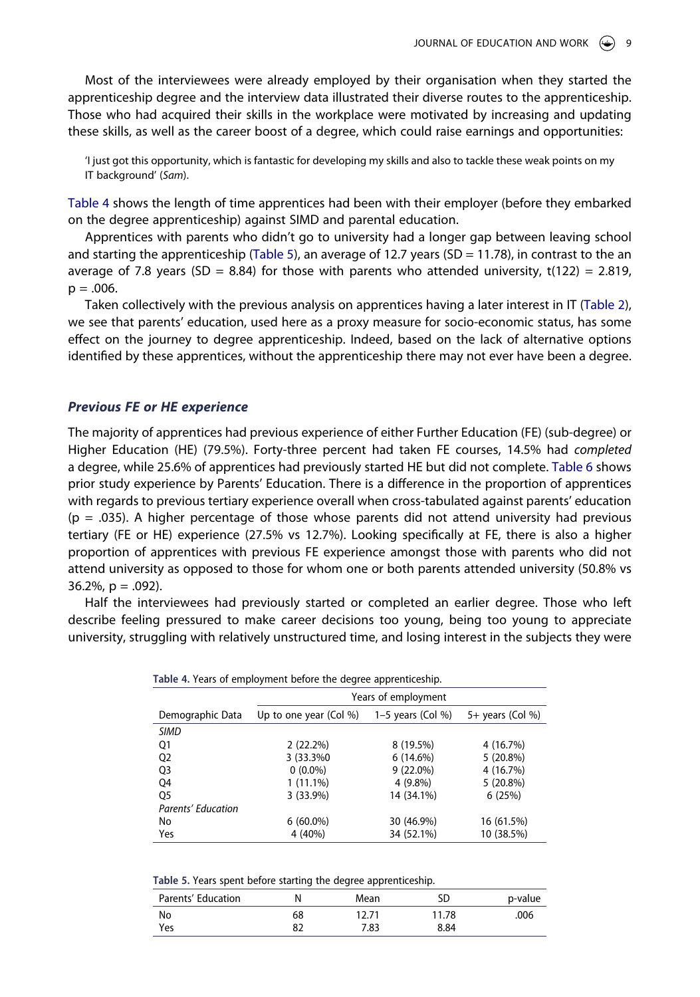Most of the interviewees were already employed by their organisation when they started the apprenticeship degree and the interview data illustrated their diverse routes to the apprenticeship. Those who had acquired their skills in the workplace were motivated by increasing and updating these skills, as well as the career boost of a degree, which could raise earnings and opportunities:

'I just got this opportunity, which is fantastic for developing my skills and also to tackle these weak points on my IT background' (*Sam*).

[Table 4](#page-10-0) shows the length of time apprentices had been with their employer (before they embarked on the degree apprenticeship) against SIMD and parental education.

Apprentices with parents who didn't go to university had a longer gap between leaving school and starting the apprenticeship [\(Table 5](#page-10-1)), an average of 12.7 years (SD = 11.78), in contrast to the an average of 7.8 years (SD = 8.84) for those with parents who attended university,  $t(122) = 2.819$ ,  $p = .006$ .

Taken collectively with the previous analysis on apprentices having a later interest in IT ([Table 2\)](#page-9-0), we see that parents' education, used here as a proxy measure for socio-economic status, has some effect on the journey to degree apprenticeship. Indeed, based on the lack of alternative options identified by these apprentices, without the apprenticeship there may not ever have been a degree.

# *Previous FE or HE experience*

The majority of apprentices had previous experience of either Further Education (FE) (sub-degree) or Higher Education (HE) (79.5%). Forty-three percent had taken FE courses, 14.5% had *completed*  a degree, while 25.6% of apprentices had previously started HE but did not complete. [Table 6](#page-11-0) shows prior study experience by Parents' Education. There is a difference in the proportion of apprentices with regards to previous tertiary experience overall when cross-tabulated against parents' education  $(p = .035)$ . A higher percentage of those whose parents did not attend university had previous tertiary (FE or HE) experience (27.5% vs 12.7%). Looking specifically at FE, there is also a higher proportion of apprentices with previous FE experience amongst those with parents who did not attend university as opposed to those for whom one or both parents attended university (50.8% vs 36.2%,  $p = .092$ ).

Half the interviewees had previously started or completed an earlier degree. Those who left describe feeling pressured to make career decisions too young, being too young to appreciate university, struggling with relatively unstructured time, and losing interest in the subjects they were

|                    | Years of employment       |                     |                  |  |  |
|--------------------|---------------------------|---------------------|------------------|--|--|
| Demographic Data   | Up to one year (Col $%$ ) | $1-5$ years (Col %) | 5+ years (Col %) |  |  |
| <b>SIMD</b>        |                           |                     |                  |  |  |
| Q1                 | 2(22.2%)                  | 8 (19.5%)           | 4 (16.7%)        |  |  |
| Q <sub>2</sub>     | 3 (33.3%0)                | 6(14.6%)            | $5(20.8\%)$      |  |  |
| Q <sub>3</sub>     | $0(0.0\%)$                | $9(22.0\%)$         | 4 (16.7%)        |  |  |
| Q4                 | $1(11.1\%)$               | $4(9.8\%)$          | 5(20.8%)         |  |  |
| Q5                 | 3(33.9%)                  | 14 (34.1%)          | 6(25%)           |  |  |
| Parents' Education |                           |                     |                  |  |  |
| No                 | $6(60.0\%)$               | 30 (46.9%)          | 16 (61.5%)       |  |  |
| Yes                | 4 (40%)                   | 34 (52.1%)          | 10 (38.5%)       |  |  |

<span id="page-10-0"></span>

<span id="page-10-1"></span>**Table 5.** Years spent before starting the degree apprenticeship.

| Parents' Education |    | Mean  | SD    | p-value |
|--------------------|----|-------|-------|---------|
| No                 | 68 | 12.71 | 11.78 | .006    |
| Yes                | 82 | 7.83  | 8.84  |         |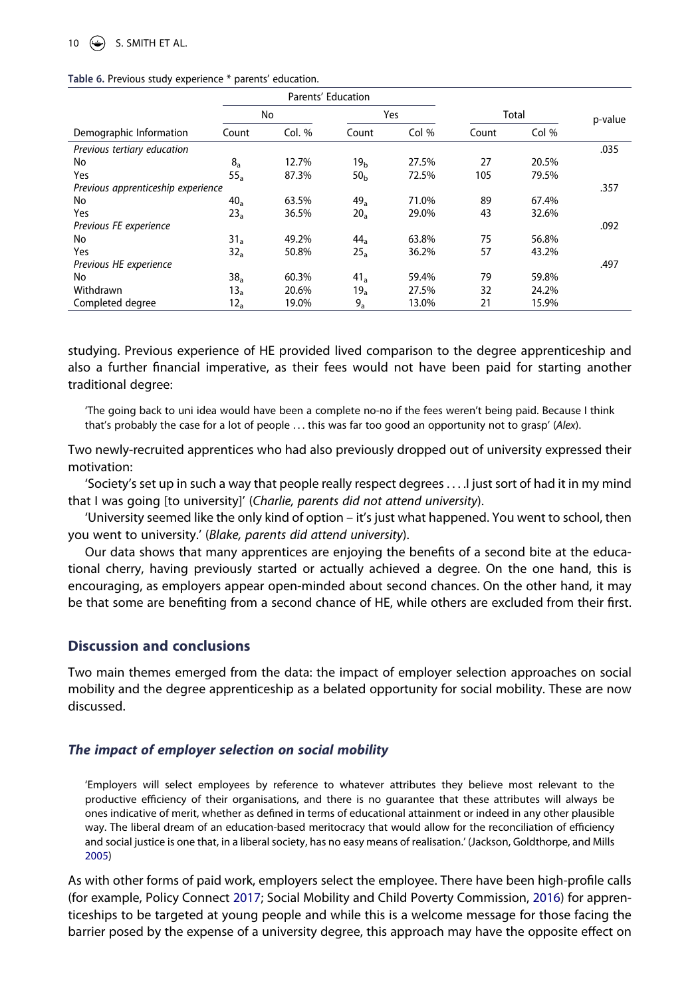# $\circledast$  S. SMITH ET AL.

#### <span id="page-11-0"></span>**Table 6.** Previous study experience \* parents' education.

|                                    | Parents' Education |          |                 |       |       |       |         |
|------------------------------------|--------------------|----------|-----------------|-------|-------|-------|---------|
|                                    |                    | No       |                 | Yes   |       | Total | p-value |
| Demographic Information            | Count              | Col. $%$ | Count           | Col % | Count | Col % |         |
| Previous tertiary education        |                    |          |                 |       |       |       | .035    |
| No                                 | $8_a$              | 12.7%    | 19 <sub>h</sub> | 27.5% | 27    | 20.5% |         |
| Yes                                | $55_a$             | 87.3%    | 50 <sub>h</sub> | 72.5% | 105   | 79.5% |         |
| Previous apprenticeship experience |                    |          |                 |       |       |       | .357    |
| No                                 | 40 <sub>a</sub>    | 63.5%    | 49 <sub>a</sub> | 71.0% | 89    | 67.4% |         |
| Yes                                | 23 <sub>a</sub>    | 36.5%    | $20_a$          | 29.0% | 43    | 32.6% |         |
| Previous FE experience             |                    |          |                 |       |       |       | .092    |
| No                                 | 31 <sub>a</sub>    | 49.2%    | 44 <sub>a</sub> | 63.8% | 75    | 56.8% |         |
| Yes                                | 32 <sub>a</sub>    | 50.8%    | 25a             | 36.2% | 57    | 43.2% |         |
| Previous HE experience             |                    |          |                 |       |       |       | .497    |
| No                                 | 38 <sub>a</sub>    | 60.3%    | 41 <sub>a</sub> | 59.4% | 79    | 59.8% |         |
| Withdrawn                          | $13_a$             | 20.6%    | 19 <sub>a</sub> | 27.5% | 32    | 24.2% |         |
| Completed degree                   | $12_a$             | 19.0%    | $9_a$           | 13.0% | 21    | 15.9% |         |

studying. Previous experience of HE provided lived comparison to the degree apprenticeship and also a further financial imperative, as their fees would not have been paid for starting another traditional degree:

'The going back to uni idea would have been a complete no-no if the fees weren't being paid. Because I think that's probably the case for a lot of people . . . this was far too good an opportunity not to grasp' (*Alex*).

Two newly-recruited apprentices who had also previously dropped out of university expressed their motivation:

'Society's set up in such a way that people really respect degrees . . . .I just sort of had it in my mind that I was going [to university]' (*Charlie, parents did not attend university*).

'University seemed like the only kind of option – it's just what happened. You went to school, then you went to university.' (*Blake, parents did attend university*).

Our data shows that many apprentices are enjoying the benefits of a second bite at the educational cherry, having previously started or actually achieved a degree. On the one hand, this is encouraging, as employers appear open-minded about second chances. On the other hand, it may be that some are benefiting from a second chance of HE, while others are excluded from their first.

# **Discussion and conclusions**

Two main themes emerged from the data: the impact of employer selection approaches on social mobility and the degree apprenticeship as a belated opportunity for social mobility. These are now discussed.

# *The impact of employer selection on social mobility*

'Employers will select employees by reference to whatever attributes they believe most relevant to the productive efficiency of their organisations, and there is no guarantee that these attributes will always be ones indicative of merit, whether as defined in terms of educational attainment or indeed in any other plausible way. The liberal dream of an education-based meritocracy that would allow for the reconciliation of efficiency and social justice is one that, in a liberal society, has no easy means of realisation.' (Jackson, Goldthorpe, and Mills [2005](#page-16-11))

<span id="page-11-1"></span>As with other forms of paid work, employers select the employee. There have been high-profile calls (for example, Policy Connect [2017;](#page-15-23) Social Mobility and Child Poverty Commission, [2016](#page-16-20)) for apprenticeships to be targeted at young people and while this is a welcome message for those facing the barrier posed by the expense of a university degree, this approach may have the opposite effect on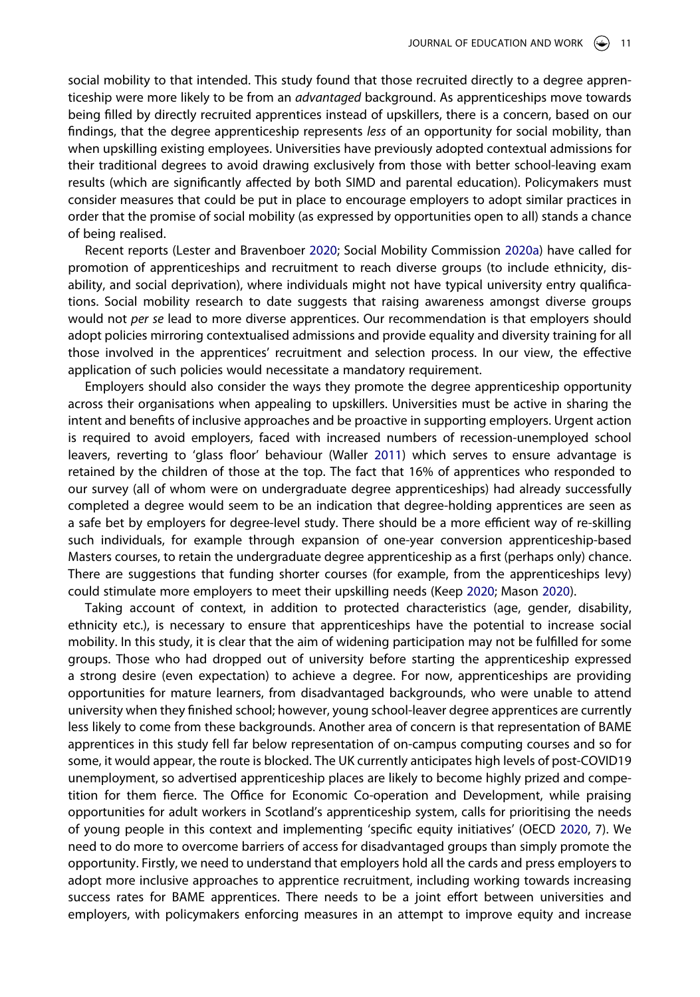social mobility to that intended. This study found that those recruited directly to a degree apprenticeship were more likely to be from an *advantaged* background. As apprenticeships move towards being filled by directly recruited apprentices instead of upskillers, there is a concern, based on our findings, that the degree apprenticeship represents *less* of an opportunity for social mobility, than when upskilling existing employees. Universities have previously adopted contextual admissions for their traditional degrees to avoid drawing exclusively from those with better school-leaving exam results (which are significantly affected by both SIMD and parental education). Policymakers must consider measures that could be put in place to encourage employers to adopt similar practices in order that the promise of social mobility (as expressed by opportunities open to all) stands a chance of being realised.

Recent reports (Lester and Bravenboer [2020;](#page-16-13) Social Mobility Commission [2020a](#page-15-0)) have called for promotion of apprenticeships and recruitment to reach diverse groups (to include ethnicity, disability, and social deprivation), where individuals might not have typical university entry qualifications. Social mobility research to date suggests that raising awareness amongst diverse groups would not *per se* lead to more diverse apprentices. Our recommendation is that employers should adopt policies mirroring contextualised admissions and provide equality and diversity training for all those involved in the apprentices' recruitment and selection process. In our view, the effective application of such policies would necessitate a mandatory requirement.

<span id="page-12-2"></span>Employers should also consider the ways they promote the degree apprenticeship opportunity across their organisations when appealing to upskillers. Universities must be active in sharing the intent and benefits of inclusive approaches and be proactive in supporting employers. Urgent action is required to avoid employers, faced with increased numbers of recession-unemployed school leavers, reverting to 'glass floor' behaviour (Waller [2011](#page-17-11)) which serves to ensure advantage is retained by the children of those at the top. The fact that 16% of apprentices who responded to our survey (all of whom were on undergraduate degree apprenticeships) had already successfully completed a degree would seem to be an indication that degree-holding apprentices are seen as a safe bet by employers for degree-level study. There should be a more efficient way of re-skilling such individuals, for example through expansion of one-year conversion apprenticeship-based Masters courses, to retain the undergraduate degree apprenticeship as a first (perhaps only) chance. There are suggestions that funding shorter courses (for example, from the apprenticeships levy) could stimulate more employers to meet their upskilling needs (Keep [2020;](#page-16-21) Mason [2020\)](#page-16-22).

<span id="page-12-1"></span><span id="page-12-0"></span>Taking account of context, in addition to protected characteristics (age, gender, disability, ethnicity etc.), is necessary to ensure that apprenticeships have the potential to increase social mobility. In this study, it is clear that the aim of widening participation may not be fulfilled for some groups. Those who had dropped out of university before starting the apprenticeship expressed a strong desire (even expectation) to achieve a degree. For now, apprenticeships are providing opportunities for mature learners, from disadvantaged backgrounds, who were unable to attend university when they finished school; however, young school-leaver degree apprentices are currently less likely to come from these backgrounds. Another area of concern is that representation of BAME apprentices in this study fell far below representation of on-campus computing courses and so for some, it would appear, the route is blocked. The UK currently anticipates high levels of post-COVID19 unemployment, so advertised apprenticeship places are likely to become highly prized and competition for them fierce. The Office for Economic Co-operation and Development, while praising opportunities for adult workers in Scotland's apprenticeship system, calls for prioritising the needs of young people in this context and implementing 'specific equity initiatives' (OECD [2020](#page-16-23), 7). We need to do more to overcome barriers of access for disadvantaged groups than simply promote the opportunity. Firstly, we need to understand that employers hold all the cards and press employers to adopt more inclusive approaches to apprentice recruitment, including working towards increasing success rates for BAME apprentices. There needs to be a joint effort between universities and employers, with policymakers enforcing measures in an attempt to improve equity and increase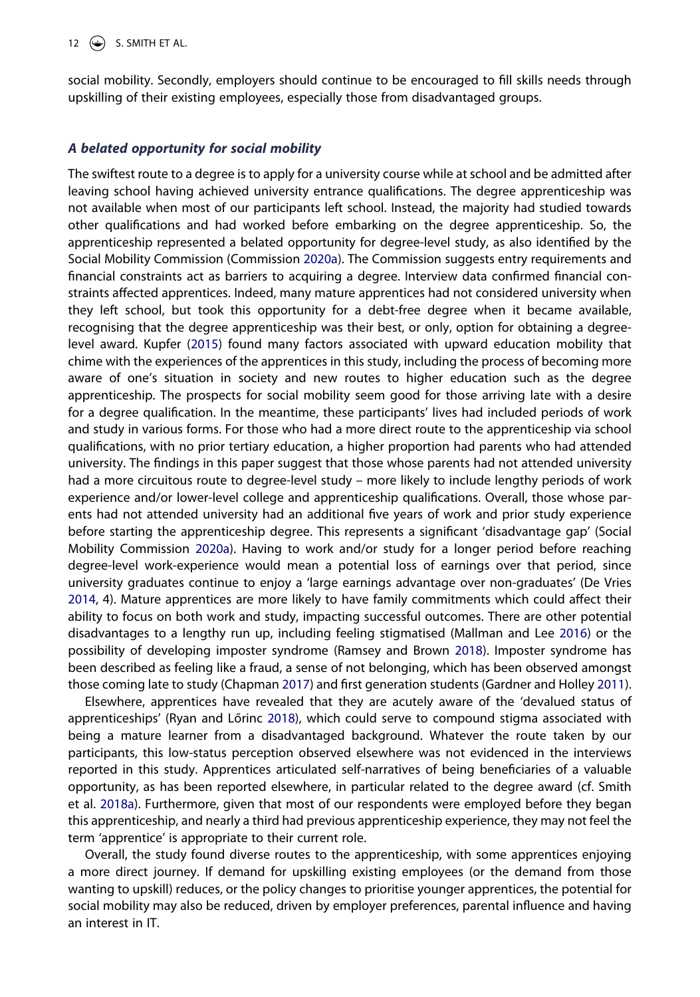### 12  $\left(\frac{1}{2}\right)$  S. SMITH ET AL.

social mobility. Secondly, employers should continue to be encouraged to fill skills needs through upskilling of their existing employees, especially those from disadvantaged groups.

# *A belated opportunity for social mobility*

The swiftest route to a degree is to apply for a university course while at school and be admitted after leaving school having achieved university entrance qualifications. The degree apprenticeship was not available when most of our participants left school. Instead, the majority had studied towards other qualifications and had worked before embarking on the degree apprenticeship. So, the apprenticeship represented a belated opportunity for degree-level study, as also identified by the Social Mobility Commission (Commission [2020a](#page-15-0)). The Commission suggests entry requirements and financial constraints act as barriers to acquiring a degree. Interview data confirmed financial constraints affected apprentices. Indeed, many mature apprentices had not considered university when they left school, but took this opportunity for a debt-free degree when it became available, recognising that the degree apprenticeship was their best, or only, option for obtaining a degreelevel award. Kupfer [\(2015](#page-16-12)) found many factors associated with upward education mobility that chime with the experiences of the apprentices in this study, including the process of becoming more aware of one's situation in society and new routes to higher education such as the degree apprenticeship. The prospects for social mobility seem good for those arriving late with a desire for a degree qualification. In the meantime, these participants' lives had included periods of work and study in various forms. For those who had a more direct route to the apprenticeship via school qualifications, with no prior tertiary education, a higher proportion had parents who had attended university. The findings in this paper suggest that those whose parents had not attended university had a more circuitous route to degree-level study – more likely to include lengthy periods of work experience and/or lower-level college and apprenticeship qualifications. Overall, those whose parents had not attended university had an additional five years of work and prior study experience before starting the apprenticeship degree. This represents a significant 'disadvantage gap' (Social Mobility Commission [2020a\)](#page-15-0). Having to work and/or study for a longer period before reaching degree-level work-experience would mean a potential loss of earnings over that period, since university graduates continue to enjoy a 'large earnings advantage over non-graduates' (De Vries [2014,](#page-15-24) 4). Mature apprentices are more likely to have family commitments which could affect their ability to focus on both work and study, impacting successful outcomes. There are other potential disadvantages to a lengthy run up, including feeling stigmatised (Mallman and Lee [2016\)](#page-16-24) or the possibility of developing imposter syndrome (Ramsey and Brown [2018](#page-16-25)). Imposter syndrome has been described as feeling like a fraud, a sense of not belonging, which has been observed amongst those coming late to study (Chapman [2017](#page-15-25)) and first generation students (Gardner and Holley [2011\)](#page-15-26).

<span id="page-13-4"></span><span id="page-13-3"></span><span id="page-13-2"></span><span id="page-13-1"></span><span id="page-13-0"></span>Elsewhere, apprentices have revealed that they are acutely aware of the 'devalued status of apprenticeships' (Ryan and Lőrinc [2018](#page-16-26)), which could serve to compound stigma associated with being a mature learner from a disadvantaged background. Whatever the route taken by our participants, this low-status perception observed elsewhere was not evidenced in the interviews reported in this study. Apprentices articulated self-narratives of being beneficiaries of a valuable opportunity, as has been reported elsewhere, in particular related to the degree award (cf. Smith et al. [2018a\)](#page-17-12). Furthermore, given that most of our respondents were employed before they began this apprenticeship, and nearly a third had previous apprenticeship experience, they may not feel the term 'apprentice' is appropriate to their current role.

<span id="page-13-5"></span>Overall, the study found diverse routes to the apprenticeship, with some apprentices enjoying a more direct journey. If demand for upskilling existing employees (or the demand from those wanting to upskill) reduces, or the policy changes to prioritise younger apprentices, the potential for social mobility may also be reduced, driven by employer preferences, parental influence and having an interest in IT.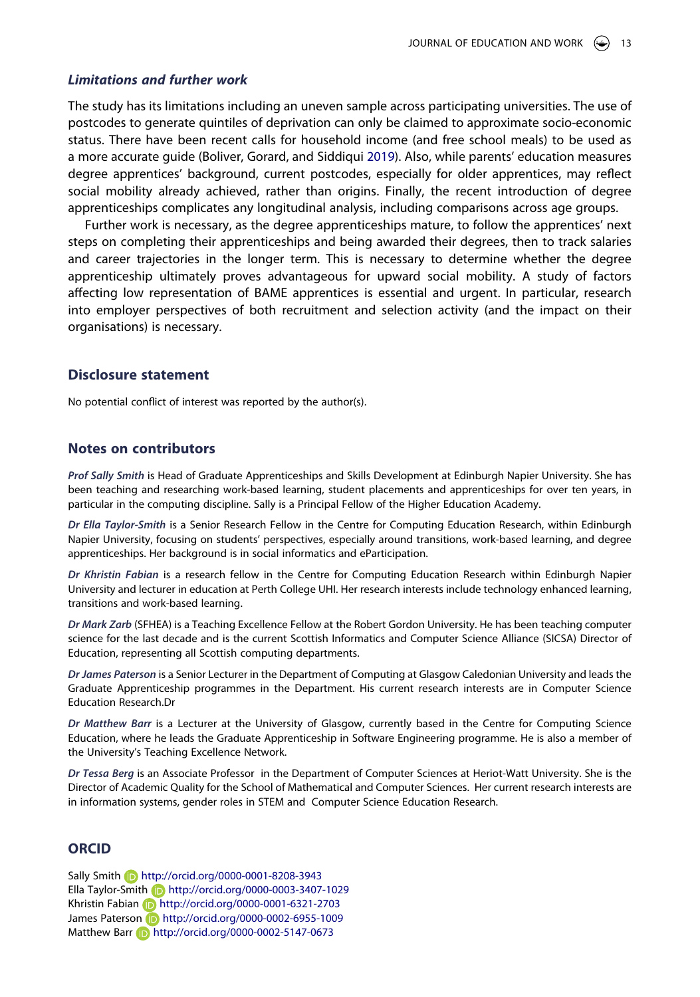#### *Limitations and further work*

The study has its limitations including an uneven sample across participating universities. The use of postcodes to generate quintiles of deprivation can only be claimed to approximate socio-economic status. There have been recent calls for household income (and free school meals) to be used as a more accurate guide (Boliver, Gorard, and Siddiqui [2019](#page-15-9)). Also, while parents' education measures degree apprentices' background, current postcodes, especially for older apprentices, may reflect social mobility already achieved, rather than origins. Finally, the recent introduction of degree apprenticeships complicates any longitudinal analysis, including comparisons across age groups.

Further work is necessary, as the degree apprenticeships mature, to follow the apprentices' next steps on completing their apprenticeships and being awarded their degrees, then to track salaries and career trajectories in the longer term. This is necessary to determine whether the degree apprenticeship ultimately proves advantageous for upward social mobility. A study of factors affecting low representation of BAME apprentices is essential and urgent. In particular, research into employer perspectives of both recruitment and selection activity (and the impact on their organisations) is necessary.

### **Disclosure statement**

No potential conflict of interest was reported by the author(s).

## **Notes on contributors**

*Prof Sally Smith* is Head of Graduate Apprenticeships and Skills Development at Edinburgh Napier University. She has been teaching and researching work-based learning, student placements and apprenticeships for over ten years, in particular in the computing discipline. Sally is a Principal Fellow of the Higher Education Academy.

*Dr Ella Taylor-Smith* is a Senior Research Fellow in the Centre for Computing Education Research, within Edinburgh Napier University, focusing on students' perspectives, especially around transitions, work-based learning, and degree apprenticeships. Her background is in social informatics and eParticipation.

*Dr Khristin Fabian* is a research fellow in the Centre for Computing Education Research within Edinburgh Napier University and lecturer in education at Perth College UHI. Her research interests include technology enhanced learning, transitions and work-based learning.

*Dr Mark Zarb* (SFHEA) is a Teaching Excellence Fellow at the Robert Gordon University. He has been teaching computer science for the last decade and is the current Scottish Informatics and Computer Science Alliance (SICSA) Director of Education, representing all Scottish computing departments.

*Dr James Paterson* is a Senior Lecturer in the Department of Computing at Glasgow Caledonian University and leads the Graduate Apprenticeship programmes in the Department. His current research interests are in Computer Science Education Research.Dr

*Dr Matthew Barr* is a Lecturer at the University of Glasgow, currently based in the Centre for Computing Science Education, where he leads the Graduate Apprenticeship in Software Engineering programme. He is also a member of the University's Teaching Excellence Network.

*Dr Tessa Berg* is an Associate Professor in the Department of Computer Sciences at Heriot-Watt University. She is the Director of Academic Quality for the School of Mathematical and Computer Sciences. Her current research interests are in information systems, gender roles in STEM and Computer Science Education Research.

# **ORCID**

Sally Smith http://orcid.org/0000-0001-8208-3943 Ella Taylor-Smith http://orcid.org/0000-0003-3407-1029 Khristin Fabian **b** http://orcid.org/0000-0001-6321-2703 James Paterson **b** http://orcid.org/0000-0002-6955-1009 Matthew Barr **b** http://orcid.org/0000-0002-5147-0673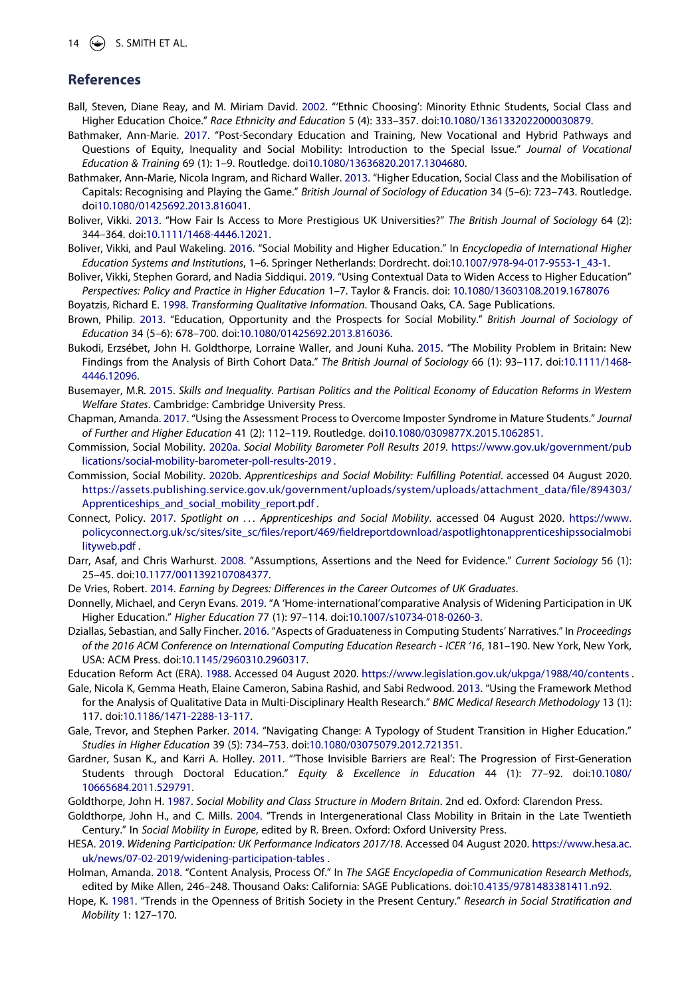#### $\circledast$  S. SMITH ET AL.

# **References**

- <span id="page-15-21"></span>Ball, Steven, Diane Reay, and M. Miriam David. [2002](#page-8-0). "'Ethnic Choosing': Minority Ethnic Students, Social Class and Higher Education Choice." *Race Ethnicity and Education* 5 (4): 333–357. doi:[10.1080/1361332022000030879.](https://doi.org/10.1080/1361332022000030879)
- <span id="page-15-2"></span>Bathmaker, Ann-Marie. [2017](#page-3-0). "Post-Secondary Education and Training, New Vocational and Hybrid Pathways and Questions of Equity, Inequality and Social Mobility: Introduction to the Special Issue." *Journal of Vocational Education & Training* 69 (1): 1–9. Routledge. doi[10.1080/13636820.2017.1304680.](https://doi.org/10.1080/13636820.2017.1304680)
- <span id="page-15-13"></span>Bathmaker, Ann-Marie, Nicola Ingram, and Richard Waller. [2013](#page-5-0). "Higher Education, Social Class and the Mobilisation of Capitals: Recognising and Playing the Game." *British Journal of Sociology of Education* 34 (5–6): 723–743. Routledge. doi[10.1080/01425692.2013.816041.](https://doi.org/10.1080/01425692.2013.816041)
- <span id="page-15-11"></span>Boliver, Vikki. [2013](#page-4-0). "How Fair Is Access to More Prestigious UK Universities?" *The British Journal of Sociology* 64 (2): 344–364. doi:[10.1111/1468-4446.12021](https://doi.org/10.1111/1468-4446.12021).
- <span id="page-15-3"></span>Boliver, Vikki, and Paul Wakeling. [2016](#page-3-1). "Social Mobility and Higher Education." In *Encyclopedia of International Higher Education Systems and Institutions*, 1–6. Springer Netherlands: Dordrecht. doi:[10.1007/978-94-017-9553-1\\_43-1.](https://doi.org/10.1007/978-94-017-9553-1_43-1)
- <span id="page-15-9"></span>Boliver, Vikki, Stephen Gorard, and Nadia Siddiqui. [2019](#page-4-1). "Using Contextual Data to Widen Access to Higher Education" *Perspectives: Policy and Practice in Higher Education* 1–7. Taylor & Francis. doi: [10.1080/13603108.2019.1678076](https://doi.org/10.1080/13603108.2019.1678076)

<span id="page-15-17"></span>Boyatzis, Richard E. [1998](#page-7-0). *Transforming Qualitative Information*. Thousand Oaks, CA. Sage Publications.

- <span id="page-15-1"></span>Brown, Philip. [2013](#page-3-2). "Education, Opportunity and the Prospects for Social Mobility." *British Journal of Sociology of Education* 34 (5–6): 678–700. doi:[10.1080/01425692.2013.816036.](https://doi.org/10.1080/01425692.2013.816036)
- <span id="page-15-7"></span>Bukodi, Erzsébet, John H. Goldthorpe, Lorraine Waller, and Jouni Kuha. [2015.](#page-4-2) "The Mobility Problem in Britain: New Findings from the Analysis of Birth Cohort Data." *The British Journal of Sociology* 66 (1): 93–117. doi:[10.1111/1468-](https://doi.org/10.1111/1468-4446.12096) [4446.12096.](https://doi.org/10.1111/1468-4446.12096)
- <span id="page-15-8"></span>Busemayer, M.R. [2015.](#page-4-3) *Skills and Inequality. Partisan Politics and the Political Economy of Education Reforms in Western Welfare States*. Cambridge: Cambridge University Press.
- <span id="page-15-25"></span>Chapman, Amanda. [2017.](#page-13-0) "Using the Assessment Process to Overcome Imposter Syndrome in Mature Students." *Journal of Further and Higher Education* 41 (2): 112–119. Routledge. doi[10.1080/0309877X.2015.1062851](https://doi.org/10.1080/0309877X.2015.1062851).
- <span id="page-15-0"></span>Commission, Social Mobility. [2020a.](#page-3-3) *Social Mobility Barometer Poll Results 2019*. [https://www.gov.uk/government/pub](https://www.gov.uk/government/publications/social-mobility-barometer-poll-results-2019) [lications/social-mobility-barometer-poll-results-2019](https://www.gov.uk/government/publications/social-mobility-barometer-poll-results-2019) .
- <span id="page-15-12"></span>Commission, Social Mobility. [2020b](#page-4-4). *Apprenticeships and Social Mobility: Fulfilling Potential*. accessed 04 August 2020. [https://assets.publishing.service.gov.uk/government/uploads/system/uploads/attachment\\_data/file/894303/](https://assets.publishing.service.gov.uk/government/uploads/system/uploads/attachment_data/file/894303/Apprenticeships_and_social_mobility_report.pdf) [Apprenticeships\\_and\\_social\\_mobility\\_report.pdf](https://assets.publishing.service.gov.uk/government/uploads/system/uploads/attachment_data/file/894303/Apprenticeships_and_social_mobility_report.pdf) .
- <span id="page-15-23"></span>Connect, Policy. [2017](#page-11-1). *Spotlight on . . . Apprenticeships and Social Mobility*. accessed 04 August 2020. [https://www.](https://www.policyconnect.org.uk/sc/sites/site_sc/files/report/469/fieldreportdownload/aspotlightonapprenticeshipssocialmobilityweb.pdf) [policyconnect.org.uk/sc/sites/site\\_sc/files/report/469/fieldreportdownload/aspotlightonapprenticeshipssocialmobi](https://www.policyconnect.org.uk/sc/sites/site_sc/files/report/469/fieldreportdownload/aspotlightonapprenticeshipssocialmobilityweb.pdf) [lityweb.pdf](https://www.policyconnect.org.uk/sc/sites/site_sc/files/report/469/fieldreportdownload/aspotlightonapprenticeshipssocialmobilityweb.pdf) .
- <span id="page-15-15"></span>Darr, Asaf, and Chris Warhurst. [2008.](#page-5-1) "Assumptions, Assertions and the Need for Evidence." *Current Sociology* 56 (1): 25–45. doi:[10.1177/0011392107084377](https://doi.org/10.1177/0011392107084377).
- <span id="page-15-24"></span>De Vries, Robert. [2014](#page-13-1). *Earning by Degrees: Differences in the Career Outcomes of UK Graduates*.
- <span id="page-15-10"></span>Donnelly, Michael, and Ceryn Evans. [2019](#page-4-5). "A 'Home-international'comparative Analysis of Widening Participation in UK Higher Education." *Higher Education* 77 (1): 97–114. doi:[10.1007/s10734-018-0260-3](https://doi.org/10.1007/s10734-018-0260-3).
- <span id="page-15-19"></span>Dziallas, Sebastian, and Sally Fincher. [2016](#page-7-1). "Aspects of Graduateness in Computing Students' Narratives." In *Proceedings of the 2016 ACM Conference on International Computing Education Research - ICER '16*, 181–190. New York, New York, USA: ACM Press. doi:[10.1145/2960310.2960317.](https://doi.org/10.1145/2960310.2960317)
- <span id="page-15-22"></span>Education Reform Act (ERA). [1988](#page-8-1). Accessed 04 August 2020. <https://www.legislation.gov.uk/ukpga/1988/40/contents>.
- <span id="page-15-20"></span>Gale, Nicola K, Gemma Heath, Elaine Cameron, Sabina Rashid, and Sabi Redwood. [2013.](#page-7-2) "Using the Framework Method for the Analysis of Qualitative Data in Multi-Disciplinary Health Research." *BMC Medical Research Methodology* 13 (1): 117. doi:[10.1186/1471-2288-13-117](https://doi.org/10.1186/1471-2288-13-117).
- <span id="page-15-18"></span>Gale, Trevor, and Stephen Parker. [2014.](#page-7-3) "Navigating Change: A Typology of Student Transition in Higher Education." *Studies in Higher Education* 39 (5): 734–753. doi:[10.1080/03075079.2012.721351](https://doi.org/10.1080/03075079.2012.721351).
- <span id="page-15-26"></span>Gardner, Susan K., and Karri A. Holley. [2011](#page-13-0). "'Those Invisible Barriers are Real': The Progression of First-Generation Students through Doctoral Education." *Equity & Excellence in Education* 44 (1): 77–92. doi:[10.1080/](https://doi.org/10.1080/10665684.2011.529791) [10665684.2011.529791](https://doi.org/10.1080/10665684.2011.529791).
- <span id="page-15-5"></span>Goldthorpe, John H. [1987.](#page-4-2) *Social Mobility and Class Structure in Modern Britain*. 2nd ed. Oxford: Clarendon Press.
- <span id="page-15-6"></span>Goldthorpe, John H., and C. Mills. [2004](#page-4-2). "Trends in Intergenerational Class Mobility in Britain in the Late Twentieth Century." In *Social Mobility in Europe*, edited by R. Breen. Oxford: Oxford University Press.
- <span id="page-15-14"></span>HESA. [2019](#page-5-2). *Widening Participation: UK Performance Indicators 2017/18*. Accessed 04 August 2020. [https://www.hesa.ac.](https://www.hesa.ac.uk/news/07-02-2019/widening-participation-tables) [uk/news/07-02-2019/widening-participation-tables](https://www.hesa.ac.uk/news/07-02-2019/widening-participation-tables) .
- <span id="page-15-16"></span>Holman, Amanda. [2018.](#page-7-4) "Content Analysis, Process Of." In *The SAGE Encyclopedia of Communication Research Methods*, edited by Mike Allen, 246–248. Thousand Oaks: California: SAGE Publications. doi:[10.4135/9781483381411.n92.](https://doi.org/10.4135/9781483381411.n92)
- <span id="page-15-4"></span>Hope, K. [1981](#page-4-6). "Trends in the Openness of British Society in the Present Century." *Research in Social Stratification and Mobility* 1: 127–170.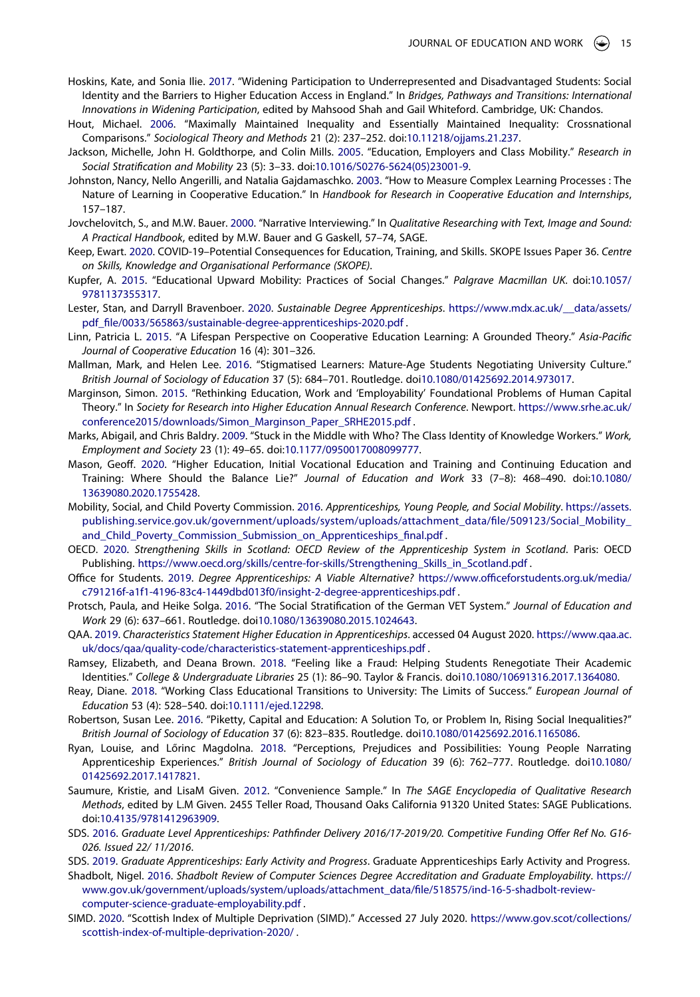- <span id="page-16-9"></span>Hoskins, Kate, and Sonia Ilie. [2017.](#page-4-7) "Widening Participation to Underrepresented and Disadvantaged Students: Social Identity and the Barriers to Higher Education Access in England." In *Bridges, Pathways and Transitions: International Innovations in Widening Participation*, edited by Mahsood Shah and Gail Whiteford. Cambridge, UK: Chandos.
- <span id="page-16-8"></span>Hout, Michael. [2006](#page-4-8). "Maximally Maintained Inequality and Essentially Maintained Inequality: Crossnational Comparisons." *Sociological Theory and Methods* 21 (2): 237–252. doi:[10.11218/ojjams.21.237.](https://doi.org/10.11218/ojjams.21.237)
- <span id="page-16-11"></span>Jackson, Michelle, John H. Goldthorpe, and Colin Mills. [2005.](#page-4-9) "Education, Employers and Class Mobility." *Research in Social Stratification and Mobility* 23 (5): 3–33. doi:[10.1016/S0276-5624\(05\)23001-9](https://doi.org/10.1016/S0276-5624(05)23001-9).
- <span id="page-16-2"></span>Johnston, Nancy, Nello Angerilli, and Natalia Gajdamaschko. [2003.](#page-3-4) "How to Measure Complex Learning Processes : The Nature of Learning in Cooperative Education." In *Handbook for Research in Cooperative Education and Internships*, 157–187.
- <span id="page-16-19"></span>Jovchelovitch, S., and M.W. Bauer. [2000.](#page-7-1) "Narrative Interviewing." In *Qualitative Researching with Text, Image and Sound: A Practical Handbook*, edited by M.W. Bauer and G Gaskell, 57–74, SAGE.
- <span id="page-16-21"></span>Keep, Ewart. [2020.](#page-12-0) COVID-19–Potential Consequences for Education, Training, and Skills. SKOPE Issues Paper 36. *Centre on Skills, Knowledge and Organisational Performance (SKOPE)*.
- <span id="page-16-12"></span>Kupfer, A. [2015](#page-4-10). "Educational Upward Mobility: Practices of Social Changes." *Palgrave Macmillan UK*. doi:[10.1057/](https://doi.org/10.1057/9781137355317) [9781137355317](https://doi.org/10.1057/9781137355317).
- <span id="page-16-13"></span>Lester, Stan, and Darryll Bravenboer. [2020](#page-4-4). *Sustainable Degree Apprenticeships*. [https://www.mdx.ac.uk/\\_\\_data/assets/](https://www.mdx.ac.uk/__data/assets/pdf_file/0033/565863/sustainable-degree-apprenticeships-2020.pdf) [pdf\\_file/0033/565863/sustainable-degree-apprenticeships-2020.pdf](https://www.mdx.ac.uk/__data/assets/pdf_file/0033/565863/sustainable-degree-apprenticeships-2020.pdf).
- <span id="page-16-3"></span>Linn, Patricia L. [2015](#page-3-5). "A Lifespan Perspective on Cooperative Education Learning: A Grounded Theory." *Asia-Pacific Journal of Cooperative Education* 16 (4): 301–326.
- <span id="page-16-24"></span>Mallman, Mark, and Helen Lee. [2016.](#page-13-2) "Stigmatised Learners: Mature-Age Students Negotiating University Culture." *British Journal of Sociology of Education* 37 (5): 684–701. Routledge. doi[10.1080/01425692.2014.973017](https://doi.org/10.1080/01425692.2014.973017).
- <span id="page-16-0"></span>Marginson, Simon. [2015](#page-2-3). "Rethinking Education, Work and 'Employability' Foundational Problems of Human Capital Theory." In *Society for Research into Higher Education Annual Research Conference*. Newport. [https://www.srhe.ac.uk/](https://www.srhe.ac.uk/conference2015/downloads/Simon_Marginson_Paper_SRHE2015.pdf) [conference2015/downloads/Simon\\_Marginson\\_Paper\\_SRHE2015.pdf](https://www.srhe.ac.uk/conference2015/downloads/Simon_Marginson_Paper_SRHE2015.pdf) .
- <span id="page-16-16"></span>Marks, Abigail, and Chris Baldry. [2009.](#page-5-3) "Stuck in the Middle with Who? The Class Identity of Knowledge Workers." *Work, Employment and Society* 23 (1): 49–65. doi:[10.1177/0950017008099777](https://doi.org/10.1177/0950017008099777).
- <span id="page-16-22"></span>Mason, Geoff. [2020.](#page-12-0) "Higher Education, Initial Vocational Education and Training and Continuing Education and Training: Where Should the Balance Lie?" *Journal of Education and Work* 33 (7–8): 468–490. doi:[10.1080/](https://doi.org/10.1080/13639080.2020.1755428) [13639080.2020.1755428](https://doi.org/10.1080/13639080.2020.1755428).
- <span id="page-16-20"></span>Mobility, Social, and Child Poverty Commission. [2016](#page-11-1). *Apprenticeships, Young People, and Social Mobility*. [https://assets.](https://assets.publishing.service.gov.uk/government/uploads/system/uploads/attachment_data/file/509123/Social_Mobility_and_Child_Poverty_Commission_Submission_on_Apprenticeships_final.pdf) [publishing.service.gov.uk/government/uploads/system/uploads/attachment\\_data/file/509123/Social\\_Mobility\\_](https://assets.publishing.service.gov.uk/government/uploads/system/uploads/attachment_data/file/509123/Social_Mobility_and_Child_Poverty_Commission_Submission_on_Apprenticeships_final.pdf) and Child Poverty Commission Submission on Apprenticeships final.pdf.
- <span id="page-16-23"></span>OECD. [2020](#page-12-1). *Strengthening Skills in Scotland: OECD Review of the Apprenticeship System in Scotland*. Paris: OECD Publishing. [https://www.oecd.org/skills/centre-for-skills/Strengthening\\_Skills\\_in\\_Scotland.pdf](https://www.oecd.org/skills/centre-for-skills/Strengthening_Skills_in_Scotland.pdf) .
- <span id="page-16-14"></span>Office for Students. [2019.](#page-5-4) *Degree Apprenticeships: A Viable Alternative?* [https://www.officeforstudents.org.uk/media/](https://www.officeforstudents.org.uk/media/c791216f-a1f1-4196-83c4-1449dbd013f0/insight-2-degree-apprenticeships.pdf) [c791216f-a1f1-4196-83c4-1449dbd013f0/insight-2-degree-apprenticeships.pdf](https://www.officeforstudents.org.uk/media/c791216f-a1f1-4196-83c4-1449dbd013f0/insight-2-degree-apprenticeships.pdf) .
- <span id="page-16-1"></span>Protsch, Paula, and Heike Solga. [2016](#page-2-4). "The Social Stratification of the German VET System." *Journal of Education and Work* 29 (6): 637–661. Routledge. doi[10.1080/13639080.2015.1024643](https://doi.org/10.1080/13639080.2015.1024643).
- <span id="page-16-5"></span>QAA. [2019](#page-3-6). *Characteristics Statement Higher Education in Apprenticeships*. accessed 04 August 2020. [https://www.qaa.ac.](https://www.qaa.ac.uk/docs/qaa/quality-code/characteristics-statement-apprenticeships.pdf) [uk/docs/qaa/quality-code/characteristics-statement-apprenticeships.pdf](https://www.qaa.ac.uk/docs/qaa/quality-code/characteristics-statement-apprenticeships.pdf) .
- <span id="page-16-25"></span>Ramsey, Elizabeth, and Deana Brown. [2018](#page-13-3). "Feeling like a Fraud: Helping Students Renegotiate Their Academic Identities." *College & Undergraduate Libraries* 25 (1): 86–90. Taylor & Francis. doi[10.1080/10691316.2017.1364080](https://doi.org/10.1080/10691316.2017.1364080).
- <span id="page-16-10"></span>Reay, Diane. [2018.](#page-4-11) "Working Class Educational Transitions to University: The Limits of Success." *European Journal of Education* 53 (4): 528–540. doi:[10.1111/ejed.12298](https://doi.org/10.1111/ejed.12298).
- <span id="page-16-7"></span>Robertson, Susan Lee. [2016](#page-4-12). "Piketty, Capital and Education: A Solution To, or Problem In, Rising Social Inequalities?" *British Journal of Sociology of Education* 37 (6): 823–835. Routledge. doi[10.1080/01425692.2016.1165086](https://doi.org/10.1080/01425692.2016.1165086).
- <span id="page-16-26"></span>Ryan, Louise, and Lőrinc Magdolna. [2018.](#page-13-4) "Perceptions, Prejudices and Possibilities: Young People Narrating Apprenticeship Experiences." *British Journal of Sociology of Education* 39 (6): 762–777. Routledge. doi[10.1080/](https://doi.org/10.1080/01425692.2017.1417821) [01425692.2017.1417821](https://doi.org/10.1080/01425692.2017.1417821).
- <span id="page-16-18"></span>Saumure, Kristie, and LisaM Given. [2012](#page-7-5). "Convenience Sample." In *The SAGE Encyclopedia of Qualitative Research Methods*, edited by L.M Given. 2455 Teller Road, Thousand Oaks California 91320 United States: SAGE Publications. doi:[10.4135/9781412963909.](https://doi.org/10.4135/9781412963909)
- <span id="page-16-6"></span>SDS. [2016.](#page-3-7) *Graduate Level Apprenticeships: Pathfinder Delivery 2016/17-2019/20. Competitive Funding Offer Ref No. G16- 026. Issued 22/ 11/2016*.
- <span id="page-16-4"></span>SDS. [2019.](#page-3-8) *Graduate Apprenticeships: Early Activity and Progress*. Graduate Apprenticeships Early Activity and Progress.
- <span id="page-16-15"></span>Shadbolt, Nigel. [2016](#page-5-5). *Shadbolt Review of Computer Sciences Degree Accreditation and Graduate Employability*. [https://](https://www.gov.uk/government/uploads/system/uploads/attachment_data/file/518575/ind-16-5-shadbolt-review-computer-science-graduate-employability.pdf) [www.gov.uk/government/uploads/system/uploads/attachment\\_data/file/518575/ind-16-5-shadbolt-review](https://www.gov.uk/government/uploads/system/uploads/attachment_data/file/518575/ind-16-5-shadbolt-review-computer-science-graduate-employability.pdf)[computer-science-graduate-employability.pdf](https://www.gov.uk/government/uploads/system/uploads/attachment_data/file/518575/ind-16-5-shadbolt-review-computer-science-graduate-employability.pdf) .
- <span id="page-16-17"></span>SIMD. [2020.](#page-6-1) "Scottish Index of Multiple Deprivation (SIMD)." Accessed 27 July 2020. [https://www.gov.scot/collections/](https://www.gov.scot/collections/scottish-index-of-multiple-deprivation-2020/) [scottish-index-of-multiple-deprivation-2020/](https://www.gov.scot/collections/scottish-index-of-multiple-deprivation-2020/) .